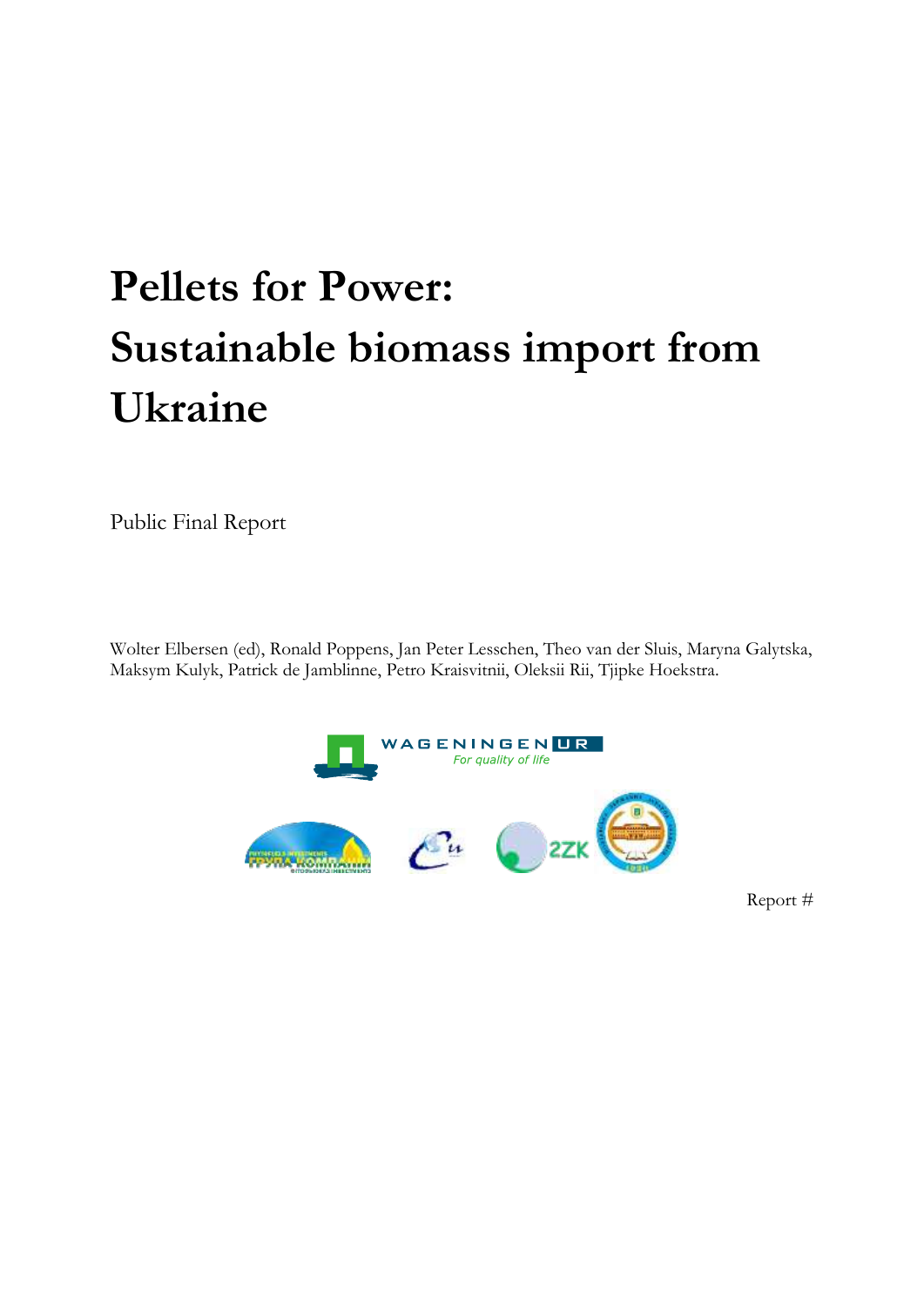# **Pellets for Power: Sustainable biomass import from Ukraine**

Public Final Report

Wolter Elbersen (ed), Ronald Poppens, Jan Peter Lesschen, Theo van der Sluis, Maryna Galytska, Maksym Kulyk, Patrick de Jamblinne, Petro Kraisvitnii, Oleksii Rii, Tjipke Hoekstra.



Report #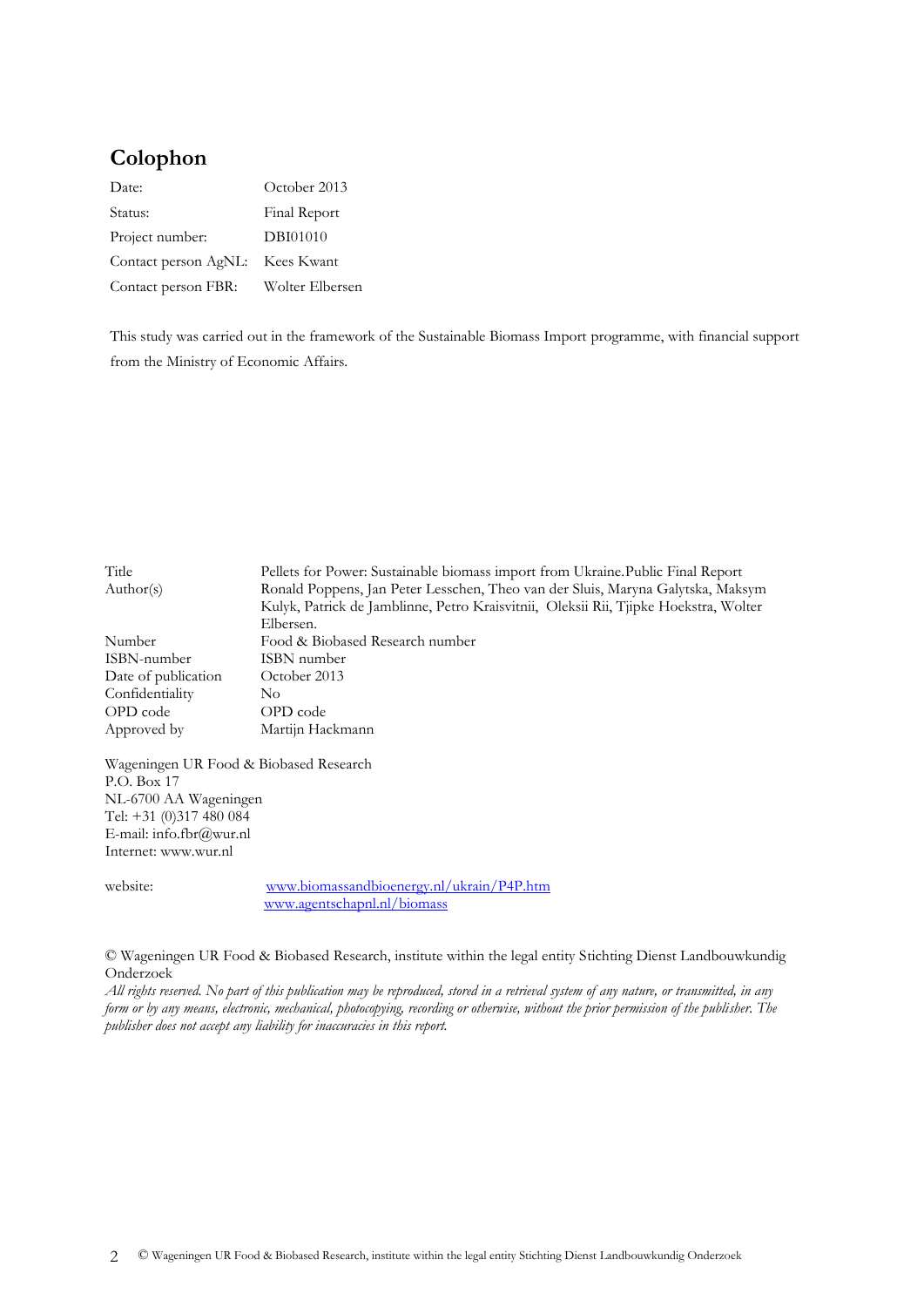# **Colophon**

| Date:                           | October 2013    |
|---------------------------------|-----------------|
| Status:                         | Final Report    |
| Project number:                 | DBI01010        |
| Contact person AgNL: Kees Kwant |                 |
| Contact person FBR:             | Wolter Elbersen |

This study was carried out in the framework of the Sustainable Biomass Import programme, with financial support from the Ministry of Economic Affairs.

| Title               | Pellets for Power: Sustainable biomass import from Ukraine. Public Final Report      |  |  |  |
|---------------------|--------------------------------------------------------------------------------------|--|--|--|
| Author(s)           | Ronald Poppens, Jan Peter Lesschen, Theo van der Sluis, Maryna Galytska, Maksym      |  |  |  |
|                     | Kulyk, Patrick de Jamblinne, Petro Kraisvitnii, Oleksii Rii, Tjipke Hoekstra, Wolter |  |  |  |
|                     | Elbersen.                                                                            |  |  |  |
| Number              | Food & Biobased Research number                                                      |  |  |  |
| ISBN-number         | ISBN number                                                                          |  |  |  |
| Date of publication | October 2013                                                                         |  |  |  |
| Confidentiality     | No.                                                                                  |  |  |  |
| OPD code            | OPD code                                                                             |  |  |  |
| Approved by         | Martijn Hackmann                                                                     |  |  |  |
|                     |                                                                                      |  |  |  |

Wageningen UR Food & Biobased Research P.O. Box 17 NL-6700 AA Wageningen Tel: +31 (0)317 480 084 E-mail: info.fbr@wur.nl Internet: www.wur.nl

website: [www.biomassandbioenergy.nl/ukrain/P4P.htm](http://www.biomassandbioenergy.nl/ukrain/P4P.htm) [www.agentschapnl.nl/biomass](http://www.agentschapnl.nl/biomass)

© Wageningen UR Food & Biobased Research, institute within the legal entity Stichting Dienst Landbouwkundig Onderzoek

*All rights reserved. No part of this publication may be reproduced, stored in a retrieval system of any nature, or transmitted, in any form or by any means, electronic, mechanical, photocopying, recording or otherwise, without the prior permission of the publisher. The publisher does not accept any liability for inaccuracies in this report.*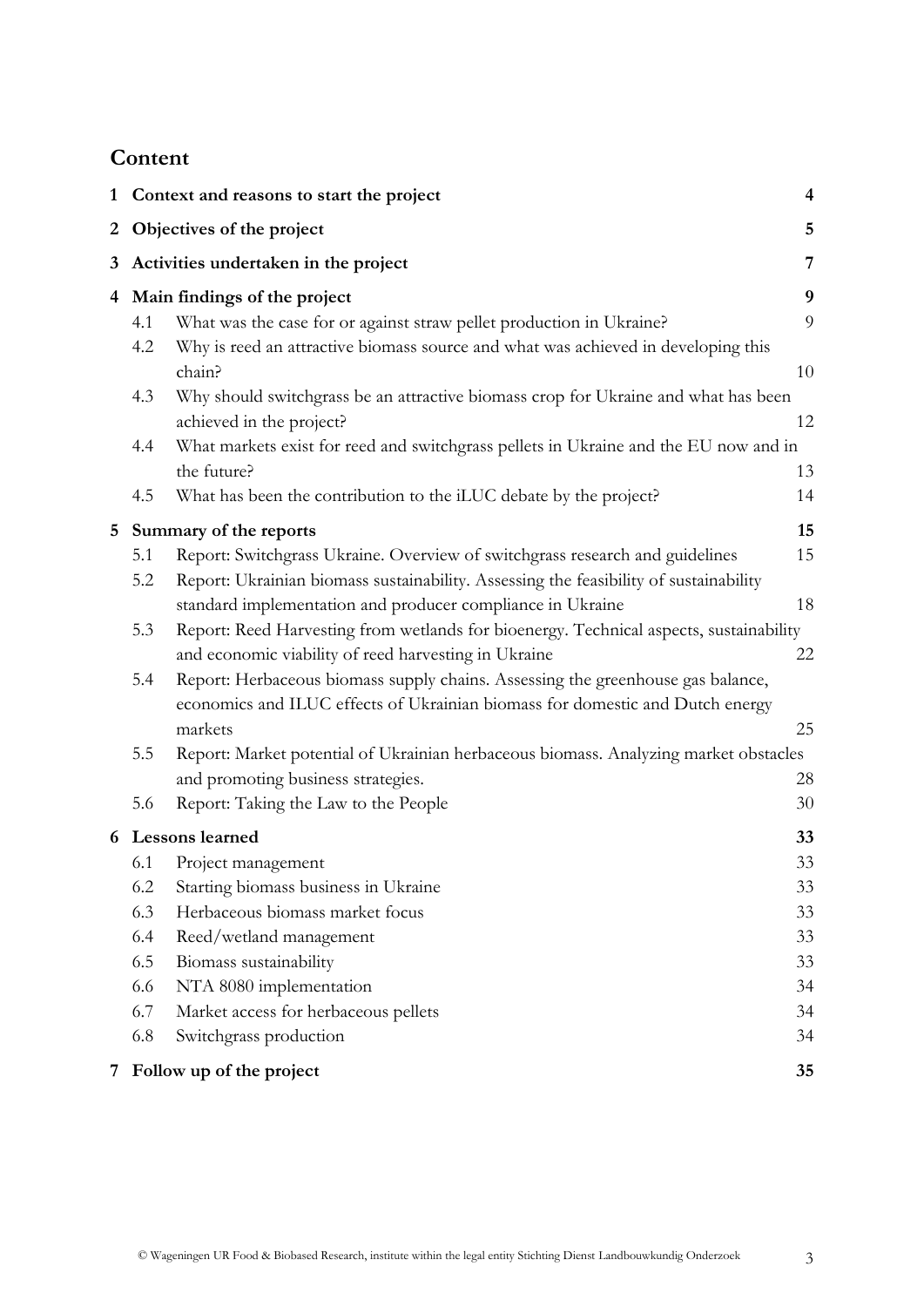# **Content**

|                                                                                             | 1 Context and reasons to start the project |                                                                                                                |                  |  |  |
|---------------------------------------------------------------------------------------------|--------------------------------------------|----------------------------------------------------------------------------------------------------------------|------------------|--|--|
|                                                                                             |                                            | 2 Objectives of the project                                                                                    | 5                |  |  |
|                                                                                             | 3 Activities undertaken in the project     |                                                                                                                |                  |  |  |
|                                                                                             |                                            | 4 Main findings of the project                                                                                 | $\boldsymbol{9}$ |  |  |
|                                                                                             | 4.1                                        | What was the case for or against straw pellet production in Ukraine?                                           | 9                |  |  |
|                                                                                             | 4.2                                        | Why is reed an attractive biomass source and what was achieved in developing this                              |                  |  |  |
|                                                                                             |                                            | chain?                                                                                                         | 10               |  |  |
|                                                                                             | 4.3                                        | Why should switchgrass be an attractive biomass crop for Ukraine and what has been<br>achieved in the project? | 12               |  |  |
|                                                                                             | 4.4                                        | What markets exist for reed and switchgrass pellets in Ukraine and the EU now and in                           |                  |  |  |
|                                                                                             |                                            | the future?                                                                                                    | 13               |  |  |
|                                                                                             | 4.5                                        | What has been the contribution to the iLUC debate by the project?                                              | 14               |  |  |
| 5                                                                                           |                                            | Summary of the reports                                                                                         | 15               |  |  |
|                                                                                             | 5.1                                        | Report: Switchgrass Ukraine. Overview of switchgrass research and guidelines                                   | 15               |  |  |
|                                                                                             | 5.2                                        | Report: Ukrainian biomass sustainability. Assessing the feasibility of sustainability                          |                  |  |  |
|                                                                                             |                                            | standard implementation and producer compliance in Ukraine                                                     | 18               |  |  |
|                                                                                             | 5.3                                        | Report: Reed Harvesting from wetlands for bioenergy. Technical aspects, sustainability                         |                  |  |  |
|                                                                                             |                                            | and economic viability of reed harvesting in Ukraine                                                           | 22               |  |  |
|                                                                                             | 5.4                                        | Report: Herbaceous biomass supply chains. Assessing the greenhouse gas balance,                                |                  |  |  |
|                                                                                             |                                            | economics and ILUC effects of Ukrainian biomass for domestic and Dutch energy                                  |                  |  |  |
|                                                                                             |                                            | markets                                                                                                        | 25               |  |  |
| Report: Market potential of Ukrainian herbaceous biomass. Analyzing market obstacles<br>5.5 |                                            |                                                                                                                |                  |  |  |
|                                                                                             | 5.6                                        | and promoting business strategies.                                                                             | 28               |  |  |
|                                                                                             |                                            | Report: Taking the Law to the People                                                                           | 30               |  |  |
|                                                                                             |                                            | 6 Lessons learned                                                                                              | 33               |  |  |
|                                                                                             | 6.1                                        | Project management                                                                                             | 33               |  |  |
|                                                                                             | 6.2                                        | Starting biomass business in Ukraine                                                                           | 33               |  |  |
|                                                                                             | 6.3                                        | Herbaceous biomass market focus                                                                                | 33               |  |  |
|                                                                                             | 6.4<br>6.5                                 | Reed/wetland management                                                                                        | 33<br>33         |  |  |
|                                                                                             | 6.6                                        | Biomass sustainability<br>NTA 8080 implementation                                                              | 34               |  |  |
|                                                                                             | 6.7                                        | Market access for herbaceous pellets                                                                           | 34               |  |  |
|                                                                                             | 6.8                                        | Switchgrass production                                                                                         | 34               |  |  |
|                                                                                             |                                            |                                                                                                                |                  |  |  |
|                                                                                             |                                            | 7 Follow up of the project                                                                                     | 35               |  |  |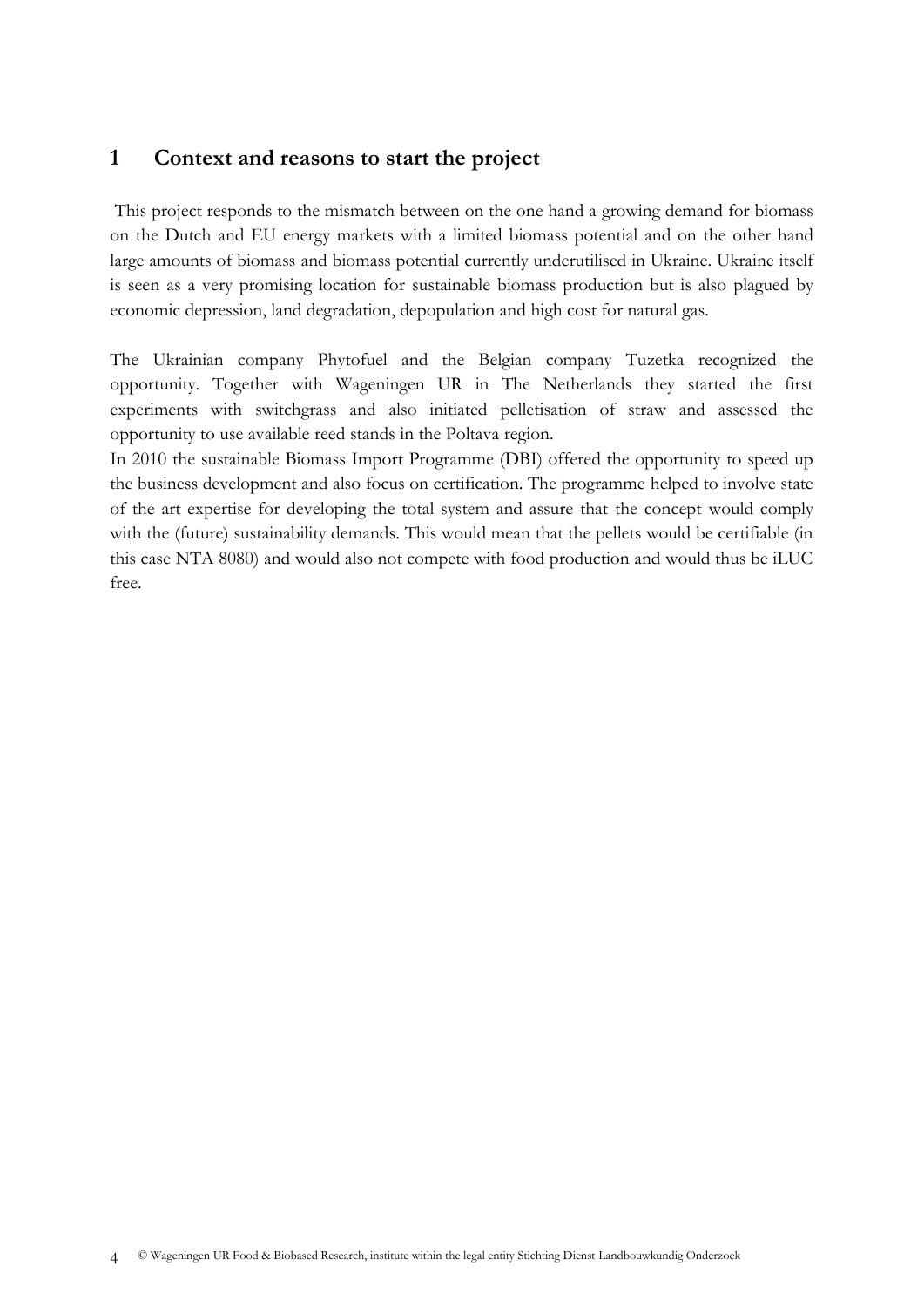# <span id="page-3-0"></span>**1 Context and reasons to start the project**

This project responds to the mismatch between on the one hand a growing demand for biomass on the Dutch and EU energy markets with a limited biomass potential and on the other hand large amounts of biomass and biomass potential currently underutilised in Ukraine. Ukraine itself is seen as a very promising location for sustainable biomass production but is also plagued by economic depression, land degradation, depopulation and high cost for natural gas.

The Ukrainian company Phytofuel and the Belgian company Tuzetka recognized the opportunity. Together with Wageningen UR in The Netherlands they started the first experiments with switchgrass and also initiated pelletisation of straw and assessed the opportunity to use available reed stands in the Poltava region.

In 2010 the sustainable Biomass Import Programme (DBI) offered the opportunity to speed up the business development and also focus on certification. The programme helped to involve state of the art expertise for developing the total system and assure that the concept would comply with the (future) sustainability demands. This would mean that the pellets would be certifiable (in this case NTA 8080) and would also not compete with food production and would thus be iLUC free.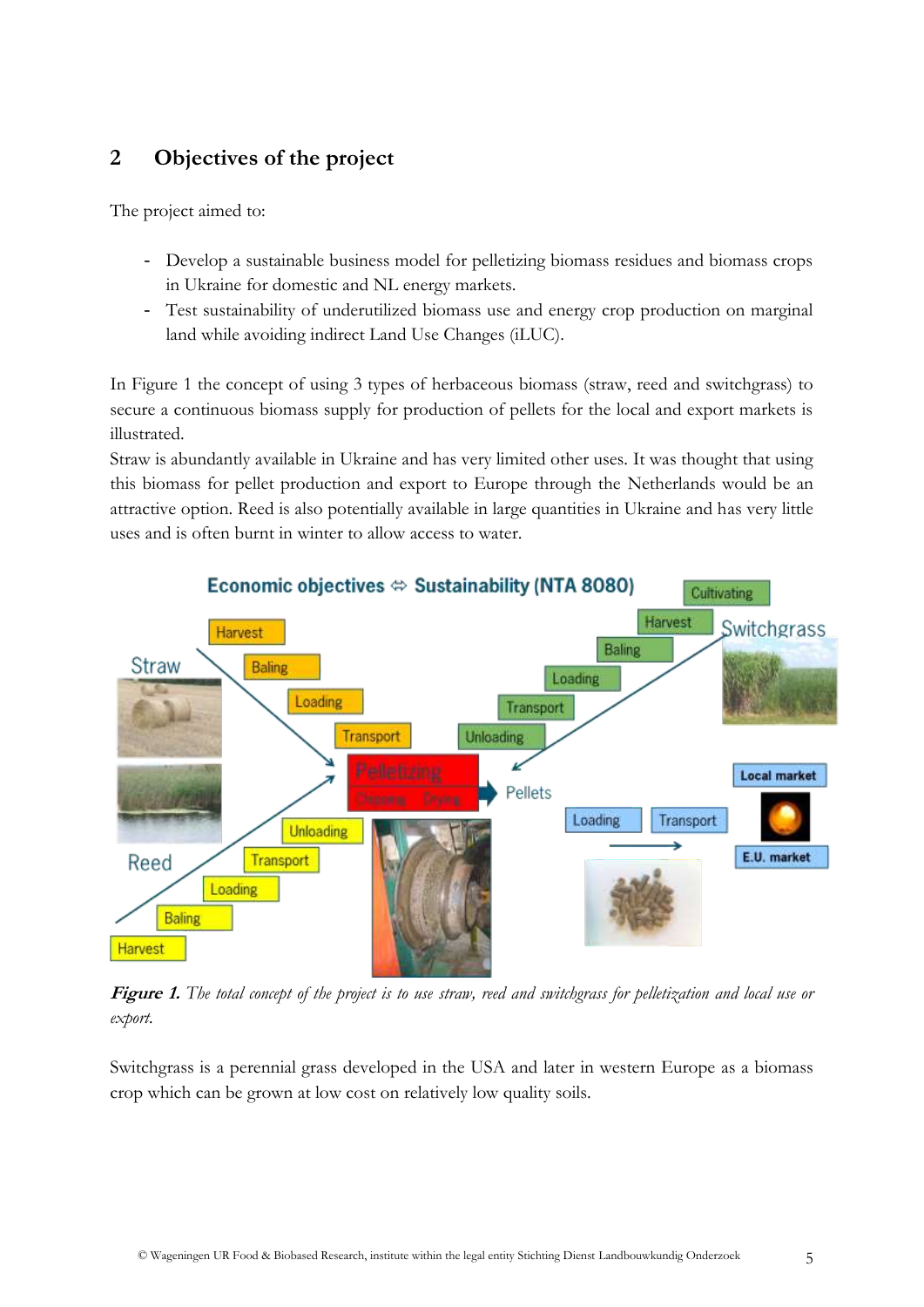# <span id="page-4-0"></span>**2 Objectives of the project**

The project aimed to:

- Develop a sustainable business model for pelletizing biomass residues and biomass crops in Ukraine for domestic and NL energy markets.
- Test sustainability of underutilized biomass use and energy crop production on marginal land while avoiding indirect Land Use Changes (iLUC).

In Figure 1 the concept of using 3 types of herbaceous biomass (straw, reed and switchgrass) to secure a continuous biomass supply for production of pellets for the local and export markets is illustrated.

Straw is abundantly available in Ukraine and has very limited other uses. It was thought that using this biomass for pellet production and export to Europe through the Netherlands would be an attractive option. Reed is also potentially available in large quantities in Ukraine and has very little uses and is often burnt in winter to allow access to water.



**Figure 1.** *The total concept of the project is to use straw, reed and switchgrass for pelletization and local use or export.* 

Switchgrass is a perennial grass developed in the USA and later in western Europe as a biomass crop which can be grown at low cost on relatively low quality soils.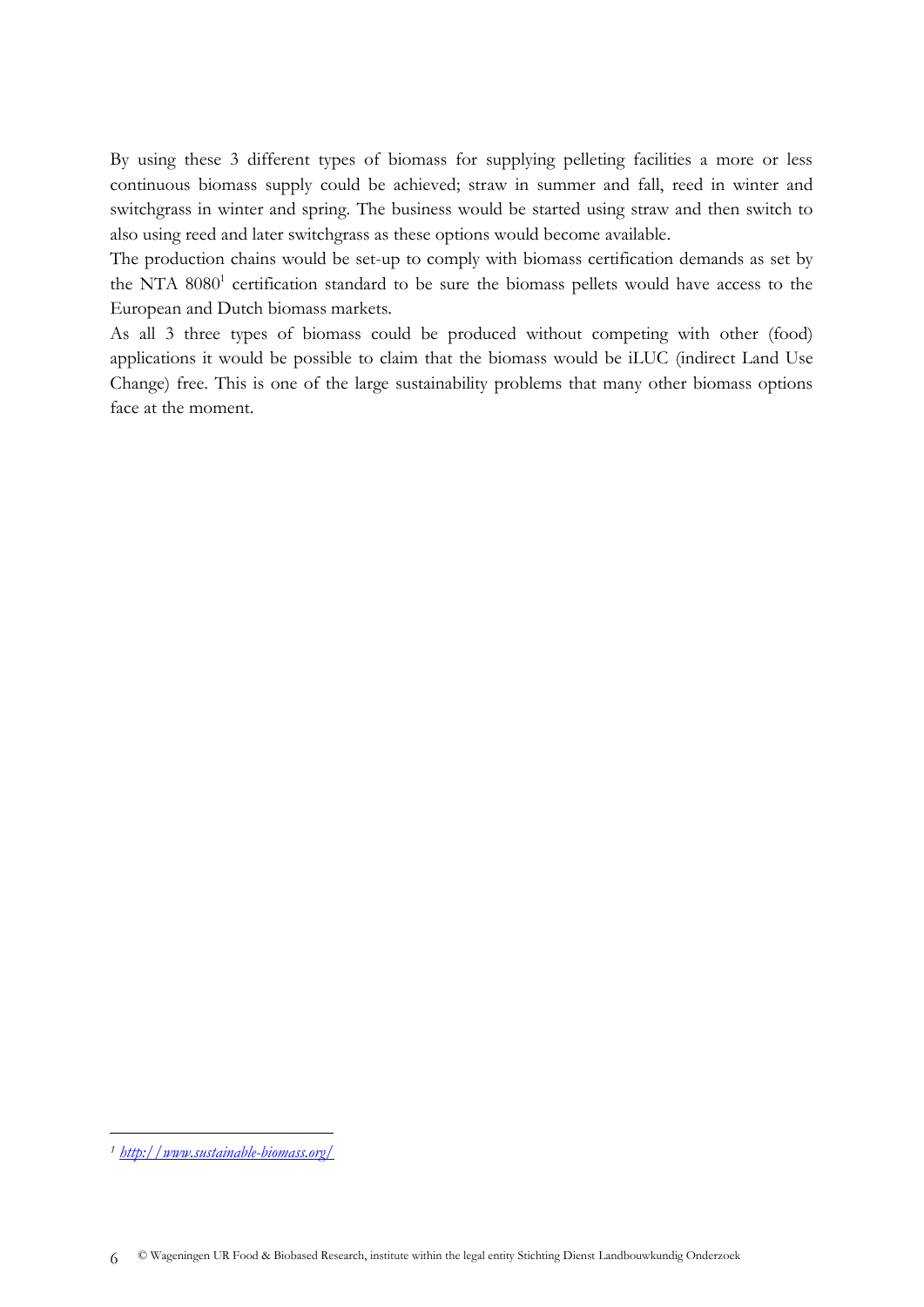By using these 3 different types of biomass for supplying pelleting facilities a more or less continuous biomass supply could be achieved; straw in summer and fall, reed in winter and switchgrass in winter and spring. The business would be started using straw and then switch to also using reed and later switchgrass as these options would become available.

The production chains would be set-up to comply with biomass certification demands as set by the NTA 8080<sup>1</sup> certification standard to be sure the biomass pellets would have access to the European and Dutch biomass markets.

As all 3 three types of biomass could be produced without competing with other (food) applications it would be possible to claim that the biomass would be iLUC (indirect Land Use Change) free. This is one of the large sustainability problems that many other biomass options face at the moment.

-

*<sup>1</sup> <http://www.sustainable-biomass.org/>*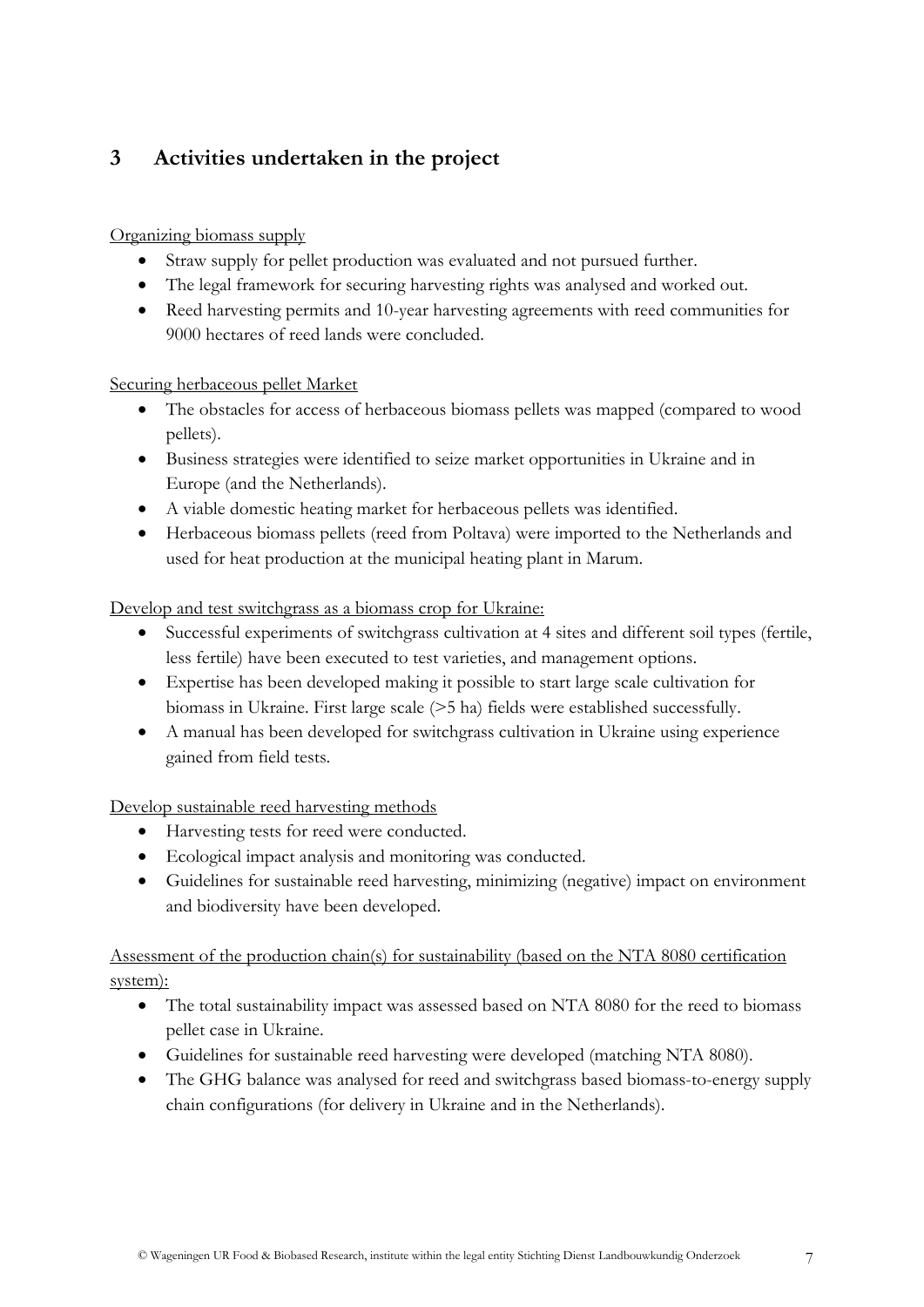# <span id="page-6-0"></span>**3 Activities undertaken in the project**

# Organizing biomass supply

- Straw supply for pellet production was evaluated and not pursued further.
- The legal framework for securing harvesting rights was analysed and worked out.
- Reed harvesting permits and 10-year harvesting agreements with reed communities for 9000 hectares of reed lands were concluded.

# Securing herbaceous pellet Market

- The obstacles for access of herbaceous biomass pellets was mapped (compared to wood pellets).
- Business strategies were identified to seize market opportunities in Ukraine and in Europe (and the Netherlands).
- A viable domestic heating market for herbaceous pellets was identified.
- Herbaceous biomass pellets (reed from Poltava) were imported to the Netherlands and used for heat production at the municipal heating plant in Marum.

# Develop and test switchgrass as a biomass crop for Ukraine:

- Successful experiments of switchgrass cultivation at 4 sites and different soil types (fertile, less fertile) have been executed to test varieties, and management options.
- Expertise has been developed making it possible to start large scale cultivation for biomass in Ukraine. First large scale (>5 ha) fields were established successfully.
- A manual has been developed for switchgrass cultivation in Ukraine using experience gained from field tests.

# Develop sustainable reed harvesting methods

- Harvesting tests for reed were conducted.
- Ecological impact analysis and monitoring was conducted.
- Guidelines for sustainable reed harvesting, minimizing (negative) impact on environment and biodiversity have been developed.

# Assessment of the production chain(s) for sustainability (based on the NTA 8080 certification system):

- The total sustainability impact was assessed based on NTA 8080 for the reed to biomass pellet case in Ukraine.
- Guidelines for sustainable reed harvesting were developed (matching NTA 8080).
- The GHG balance was analysed for reed and switchgrass based biomass-to-energy supply chain configurations (for delivery in Ukraine and in the Netherlands).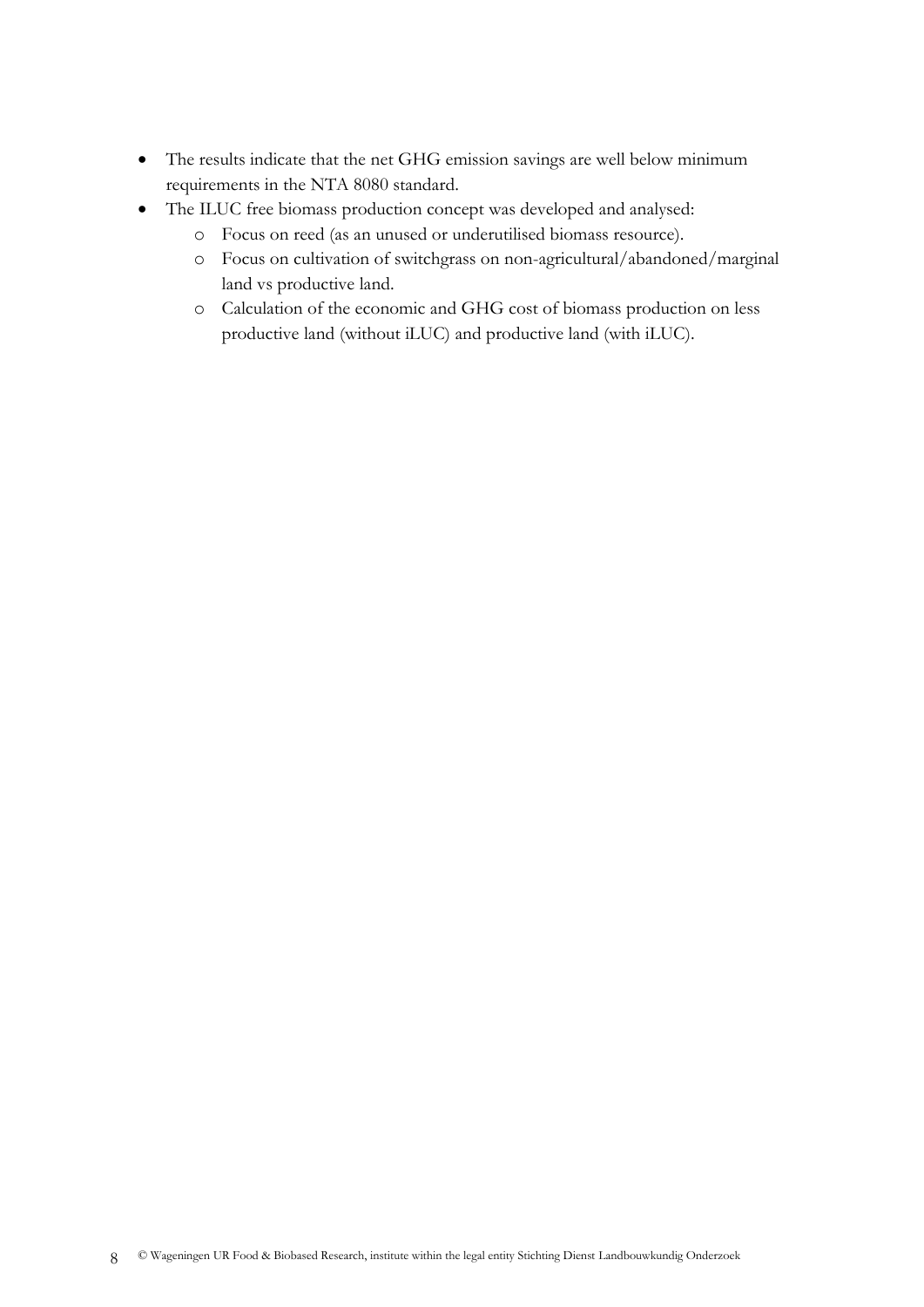- The results indicate that the net GHG emission savings are well below minimum requirements in the NTA 8080 standard.
- The ILUC free biomass production concept was developed and analysed:
	- o Focus on reed (as an unused or underutilised biomass resource).
	- o Focus on cultivation of switchgrass on non-agricultural/abandoned/marginal land vs productive land.
	- o Calculation of the economic and GHG cost of biomass production on less productive land (without iLUC) and productive land (with iLUC).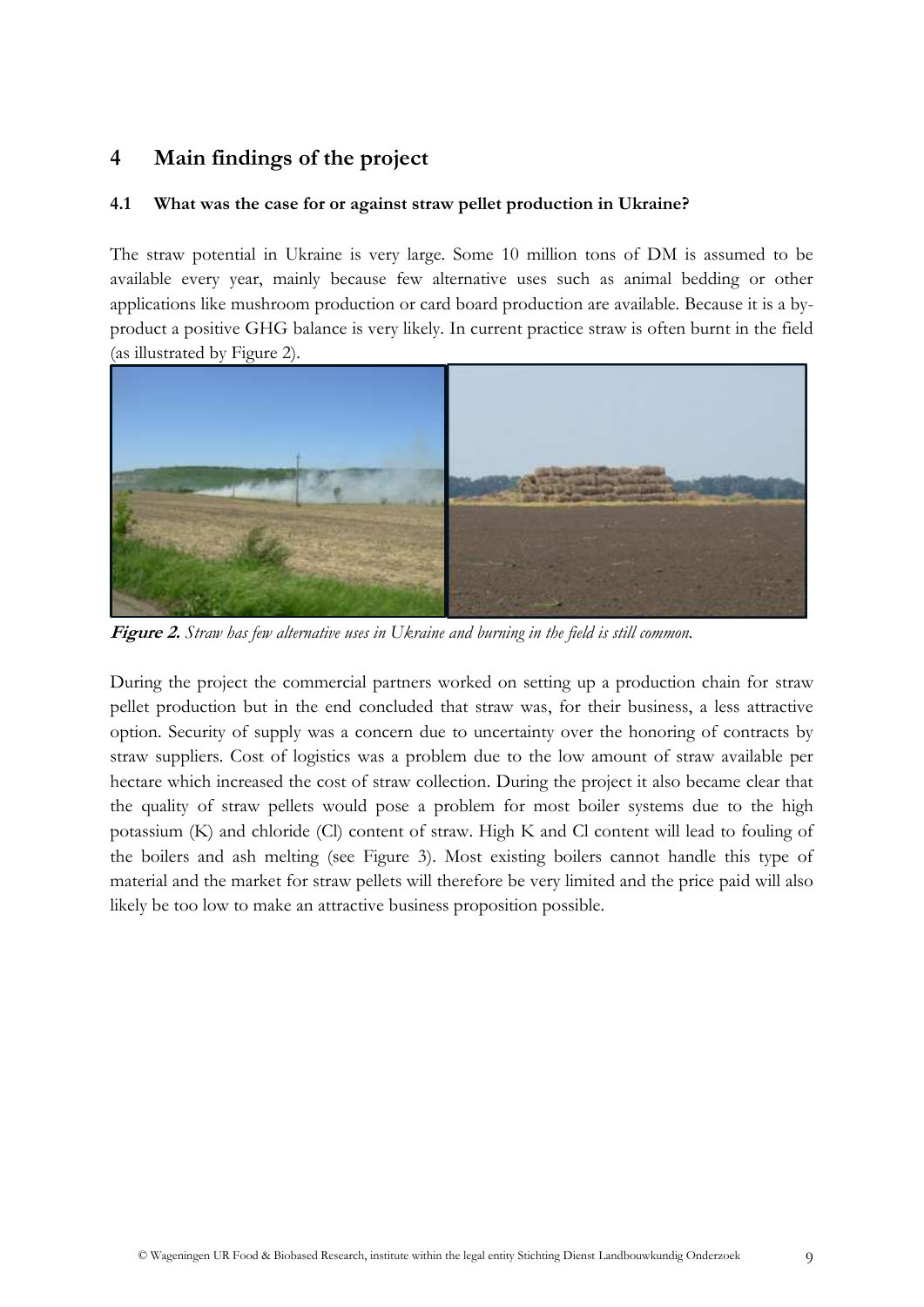# <span id="page-8-0"></span>**4 Main findings of the project**

## <span id="page-8-1"></span>**4.1 What was the case for or against straw pellet production in Ukraine?**

The straw potential in Ukraine is very large. Some 10 million tons of DM is assumed to be available every year, mainly because few alternative uses such as animal bedding or other applications like mushroom production or card board production are available. Because it is a byproduct a positive GHG balance is very likely. In current practice straw is often burnt in the field (as illustrated by Figure 2).



**Figure 2.** *Straw has few alternative uses in Ukraine and burning in the field is still common.*

During the project the commercial partners worked on setting up a production chain for straw pellet production but in the end concluded that straw was, for their business, a less attractive option. Security of supply was a concern due to uncertainty over the honoring of contracts by straw suppliers. Cost of logistics was a problem due to the low amount of straw available per hectare which increased the cost of straw collection. During the project it also became clear that the quality of straw pellets would pose a problem for most boiler systems due to the high potassium (K) and chloride (Cl) content of straw. High K and Cl content will lead to fouling of the boilers and ash melting (see Figure 3). Most existing boilers cannot handle this type of material and the market for straw pellets will therefore be very limited and the price paid will also likely be too low to make an attractive business proposition possible.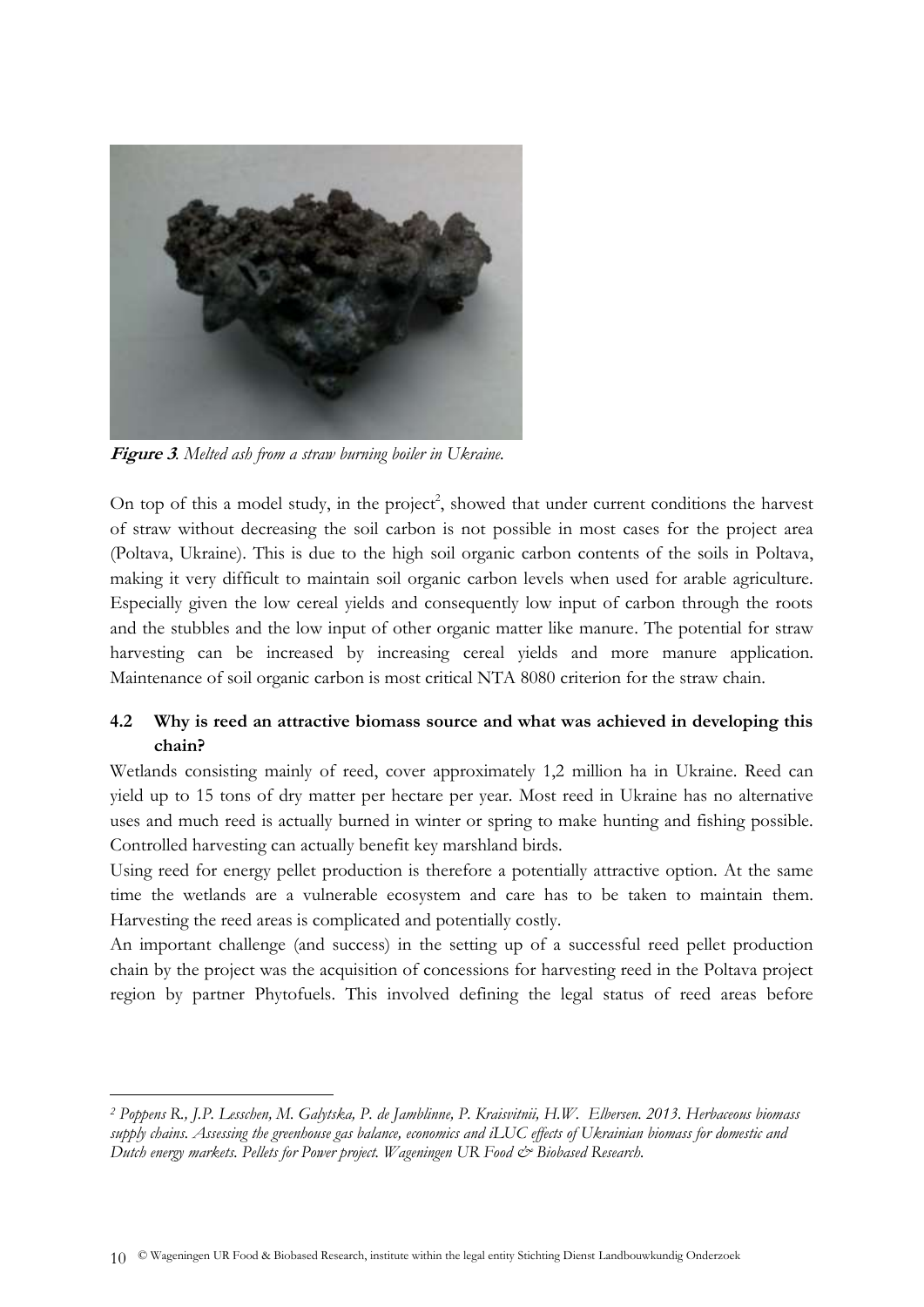

**Figure 3***. Melted ash from a straw burning boiler in Ukraine.*

<u>.</u>

On top of this a model study, in the project<sup>2</sup>, showed that under current conditions the harvest of straw without decreasing the soil carbon is not possible in most cases for the project area (Poltava, Ukraine). This is due to the high soil organic carbon contents of the soils in Poltava, making it very difficult to maintain soil organic carbon levels when used for arable agriculture. Especially given the low cereal yields and consequently low input of carbon through the roots and the stubbles and the low input of other organic matter like manure. The potential for straw harvesting can be increased by increasing cereal yields and more manure application. Maintenance of soil organic carbon is most critical NTA 8080 criterion for the straw chain.

# <span id="page-9-0"></span>**4.2 Why is reed an attractive biomass source and what was achieved in developing this chain?**

Wetlands consisting mainly of reed, cover approximately 1,2 million ha in Ukraine. Reed can yield up to 15 tons of dry matter per hectare per year. Most reed in Ukraine has no alternative uses and much reed is actually burned in winter or spring to make hunting and fishing possible. Controlled harvesting can actually benefit key marshland birds.

Using reed for energy pellet production is therefore a potentially attractive option. At the same time the wetlands are a vulnerable ecosystem and care has to be taken to maintain them. Harvesting the reed areas is complicated and potentially costly.

An important challenge (and success) in the setting up of a successful reed pellet production chain by the project was the acquisition of concessions for harvesting reed in the Poltava project region by partner Phytofuels. This involved defining the legal status of reed areas before

*<sup>2</sup> Poppens R., J.P. Lesschen, M. Galytska, P. de Jamblinne, P. Kraisvitnii, H.W. Elbersen. 2013. Herbaceous biomass supply chains. Assessing the greenhouse gas balance, economics and iLUC effects of Ukrainian biomass for domestic and Dutch energy markets. Pellets for Power project. Wageningen UR Food*  $\breve{c}$  *Biobased Research.*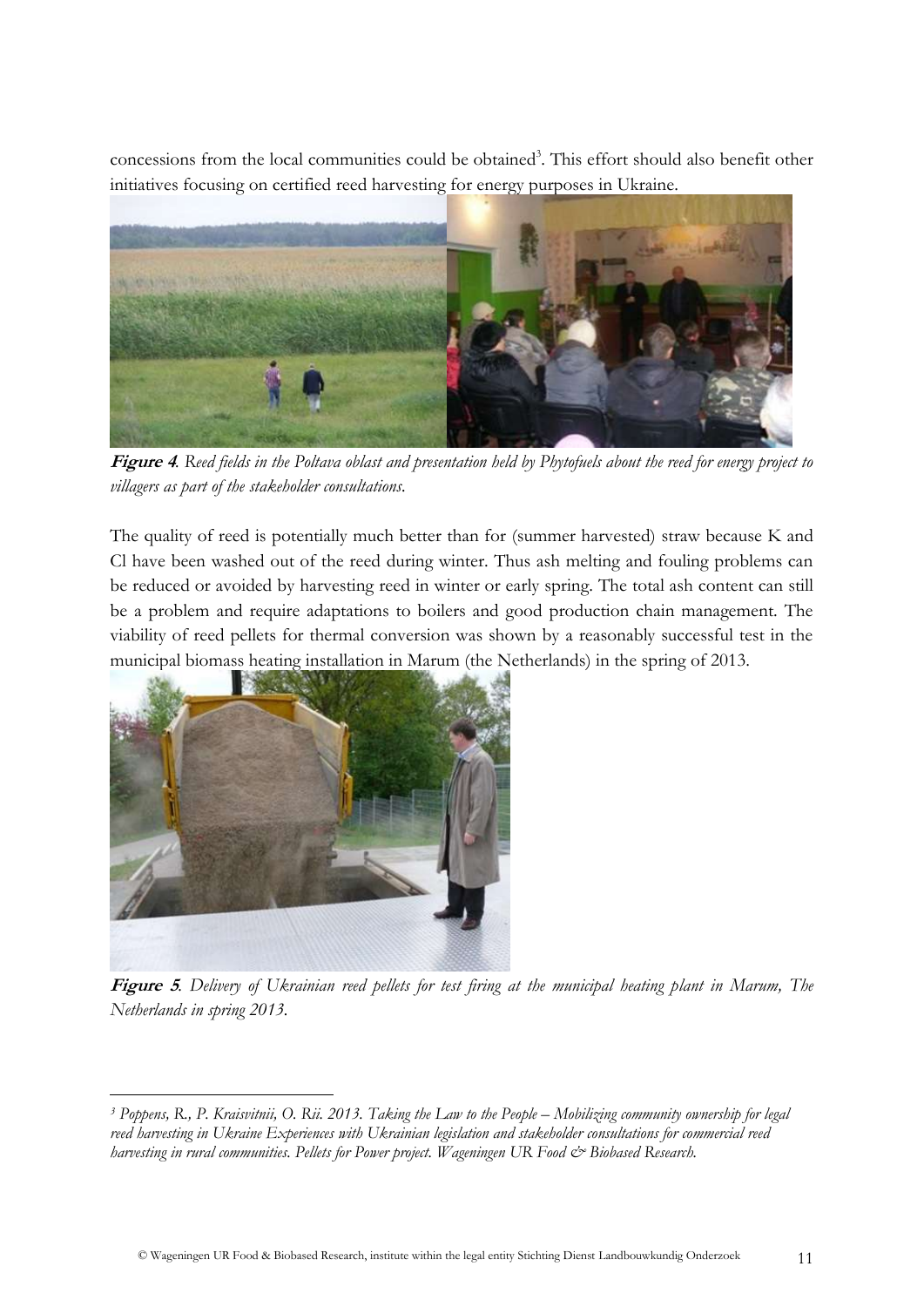concessions from the local communities could be obtained<sup>3</sup>. This effort should also benefit other initiatives focusing on certified reed harvesting for energy purposes in Ukraine.



**Figure 4***. Reed fields in the Poltava oblast and presentation held by Phytofuels about the reed for energy project to villagers as part of the stakeholder consultations.*

The quality of reed is potentially much better than for (summer harvested) straw because K and Cl have been washed out of the reed during winter. Thus ash melting and fouling problems can be reduced or avoided by harvesting reed in winter or early spring. The total ash content can still be a problem and require adaptations to boilers and good production chain management. The viability of reed pellets for thermal conversion was shown by a reasonably successful test in the municipal biomass heating installation in Marum (the Netherlands) in the spring of 2013.



**Figure 5***. Delivery of Ukrainian reed pellets for test firing at the municipal heating plant in Marum, The Netherlands in spring 2013.*

<sup>&</sup>lt;u>.</u> <sup>3</sup> Poppens, R., P. Kraisvitnii, O. Rii. 2013. Taking the Law to the People – Mobilizing community ownership for legal *reed harvesting in Ukraine Experiences with Ukrainian legislation and stakeholder consultations for commercial reed harvesting in rural communities. Pellets for Power project. Wageningen UR Food*  $\dot{\mathcal{O}}$  *Biobased Research.*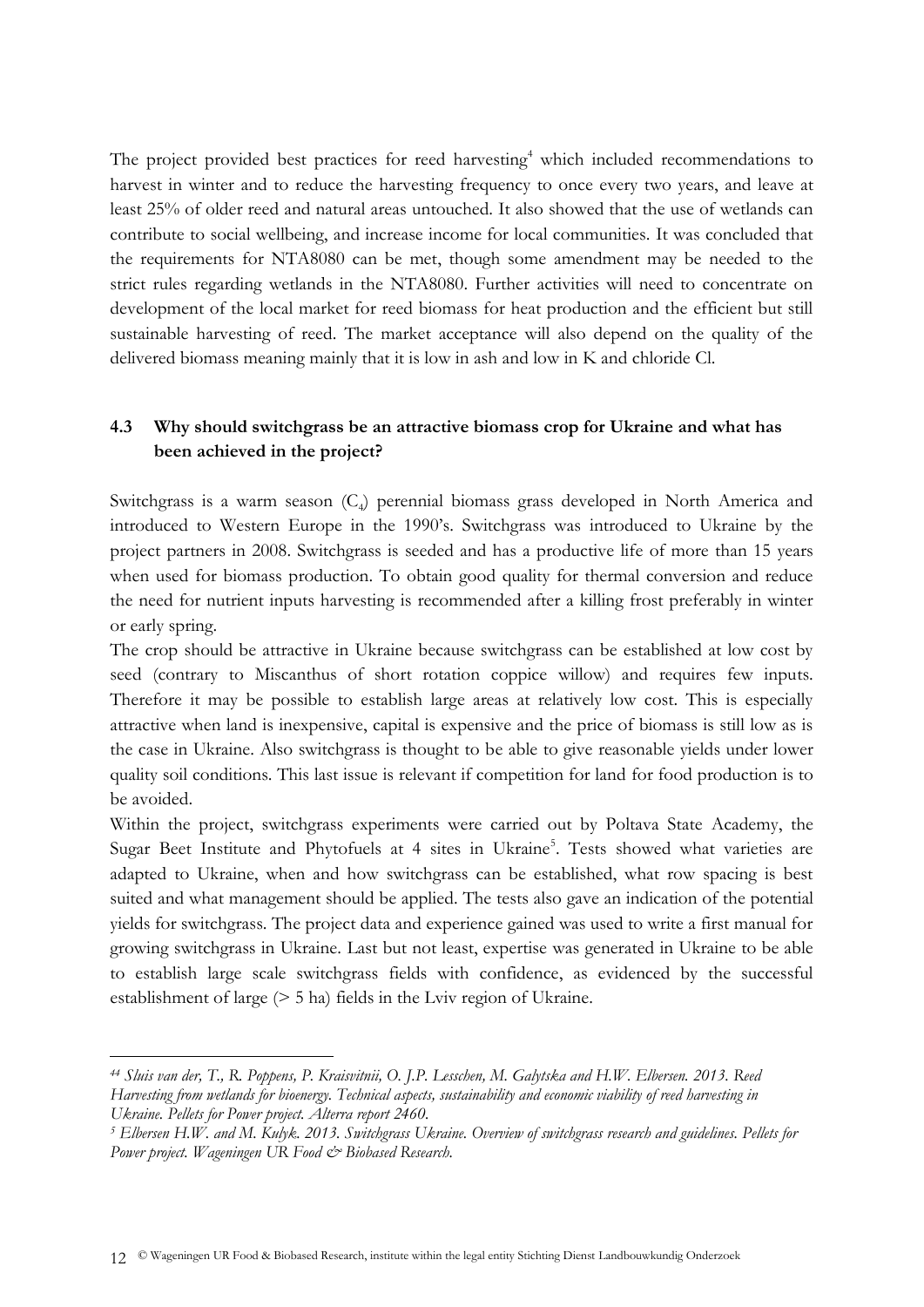The project provided best practices for reed harvesting<sup>4</sup> which included recommendations to harvest in winter and to reduce the harvesting frequency to once every two years, and leave at least 25% of older reed and natural areas untouched. It also showed that the use of wetlands can contribute to social wellbeing, and increase income for local communities. It was concluded that the requirements for NTA8080 can be met, though some amendment may be needed to the strict rules regarding wetlands in the NTA8080. Further activities will need to concentrate on development of the local market for reed biomass for heat production and the efficient but still sustainable harvesting of reed. The market acceptance will also depend on the quality of the delivered biomass meaning mainly that it is low in ash and low in K and chloride Cl.

# <span id="page-11-0"></span>**4.3 Why should switchgrass be an attractive biomass crop for Ukraine and what has been achieved in the project?**

Switchgrass is a warm season (C<sub>4</sub>) perennial biomass grass developed in North America and introduced to Western Europe in the 1990's. Switchgrass was introduced to Ukraine by the project partners in 2008. Switchgrass is seeded and has a productive life of more than 15 years when used for biomass production. To obtain good quality for thermal conversion and reduce the need for nutrient inputs harvesting is recommended after a killing frost preferably in winter or early spring.

The crop should be attractive in Ukraine because switchgrass can be established at low cost by seed (contrary to Miscanthus of short rotation coppice willow) and requires few inputs. Therefore it may be possible to establish large areas at relatively low cost. This is especially attractive when land is inexpensive, capital is expensive and the price of biomass is still low as is the case in Ukraine. Also switchgrass is thought to be able to give reasonable yields under lower quality soil conditions. This last issue is relevant if competition for land for food production is to be avoided.

Within the project, switchgrass experiments were carried out by Poltava State Academy, the Sugar Beet Institute and Phytofuels at 4 sites in Ukraine<sup>5</sup>. Tests showed what varieties are adapted to Ukraine, when and how switchgrass can be established, what row spacing is best suited and what management should be applied. The tests also gave an indication of the potential yields for switchgrass. The project data and experience gained was used to write a first manual for growing switchgrass in Ukraine. Last but not least, expertise was generated in Ukraine to be able to establish large scale switchgrass fields with confidence, as evidenced by the successful establishment of large (> 5 ha) fields in the Lviv region of Ukraine.

-

*<sup>44</sup> Sluis van der, T., R. Poppens, P. Kraisvitnii, O. J.P. Lesschen, M. Galytska and H.W. Elbersen. 2013. Reed Harvesting from wetlands for bioenergy. Technical aspects, sustainability and economic viability of reed harvesting in Ukraine. Pellets for Power project. Alterra report 2460.*

*<sup>5</sup> Elbersen H.W. and M. Kulyk. 2013. Switchgrass Ukraine. Overview of switchgrass research and guidelines. Pellets for*  Power project. Wageningen UR Food & Biobased Research.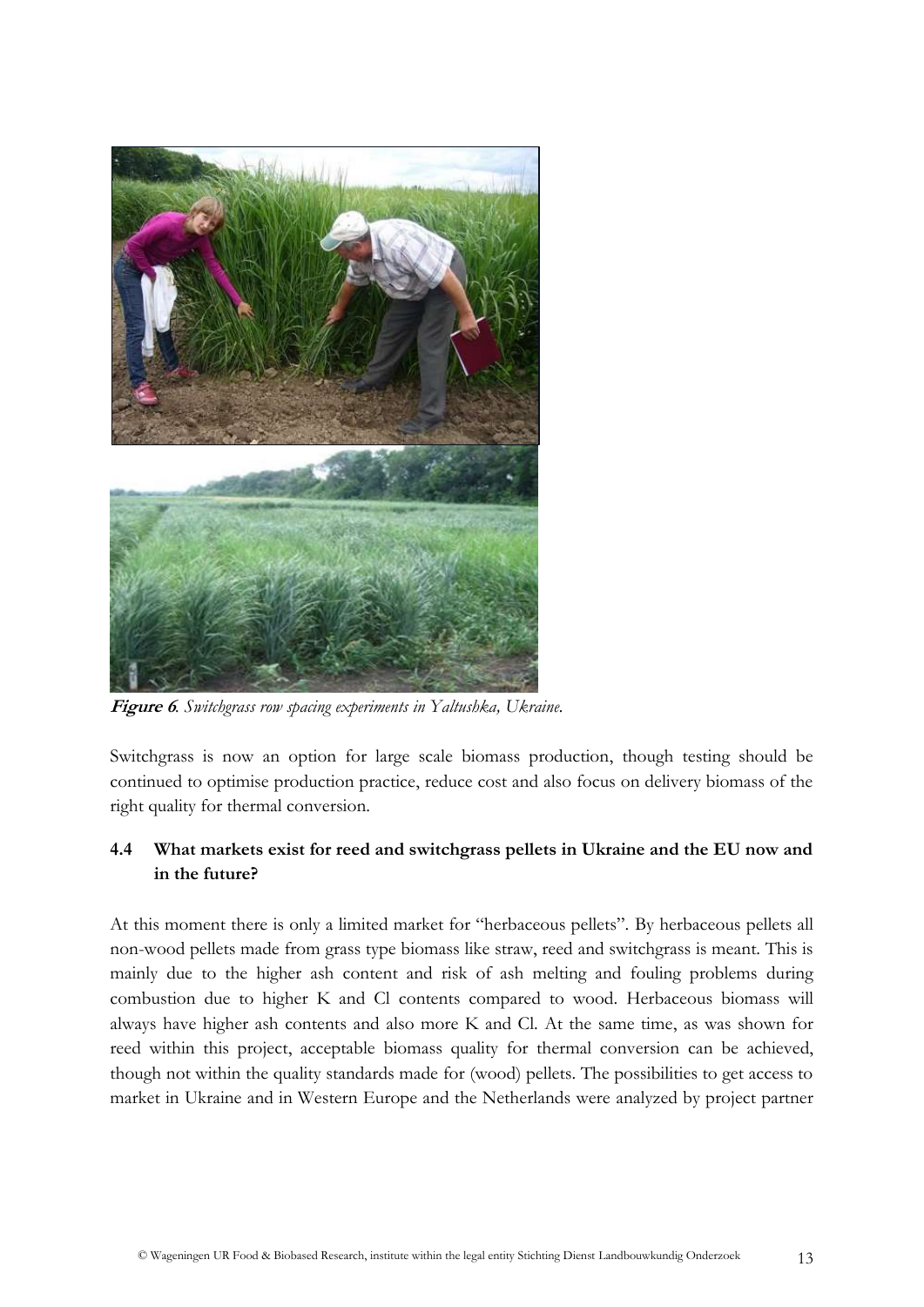

**Figure 6***. Switchgrass row spacing experiments in Yaltushka, Ukraine.*

Switchgrass is now an option for large scale biomass production, though testing should be continued to optimise production practice, reduce cost and also focus on delivery biomass of the right quality for thermal conversion.

# <span id="page-12-0"></span>**4.4 What markets exist for reed and switchgrass pellets in Ukraine and the EU now and in the future?**

At this moment there is only a limited market for "herbaceous pellets". By herbaceous pellets all non-wood pellets made from grass type biomass like straw, reed and switchgrass is meant. This is mainly due to the higher ash content and risk of ash melting and fouling problems during combustion due to higher K and Cl contents compared to wood. Herbaceous biomass will always have higher ash contents and also more K and Cl. At the same time, as was shown for reed within this project, acceptable biomass quality for thermal conversion can be achieved, though not within the quality standards made for (wood) pellets. The possibilities to get access to market in Ukraine and in Western Europe and the Netherlands were analyzed by project partner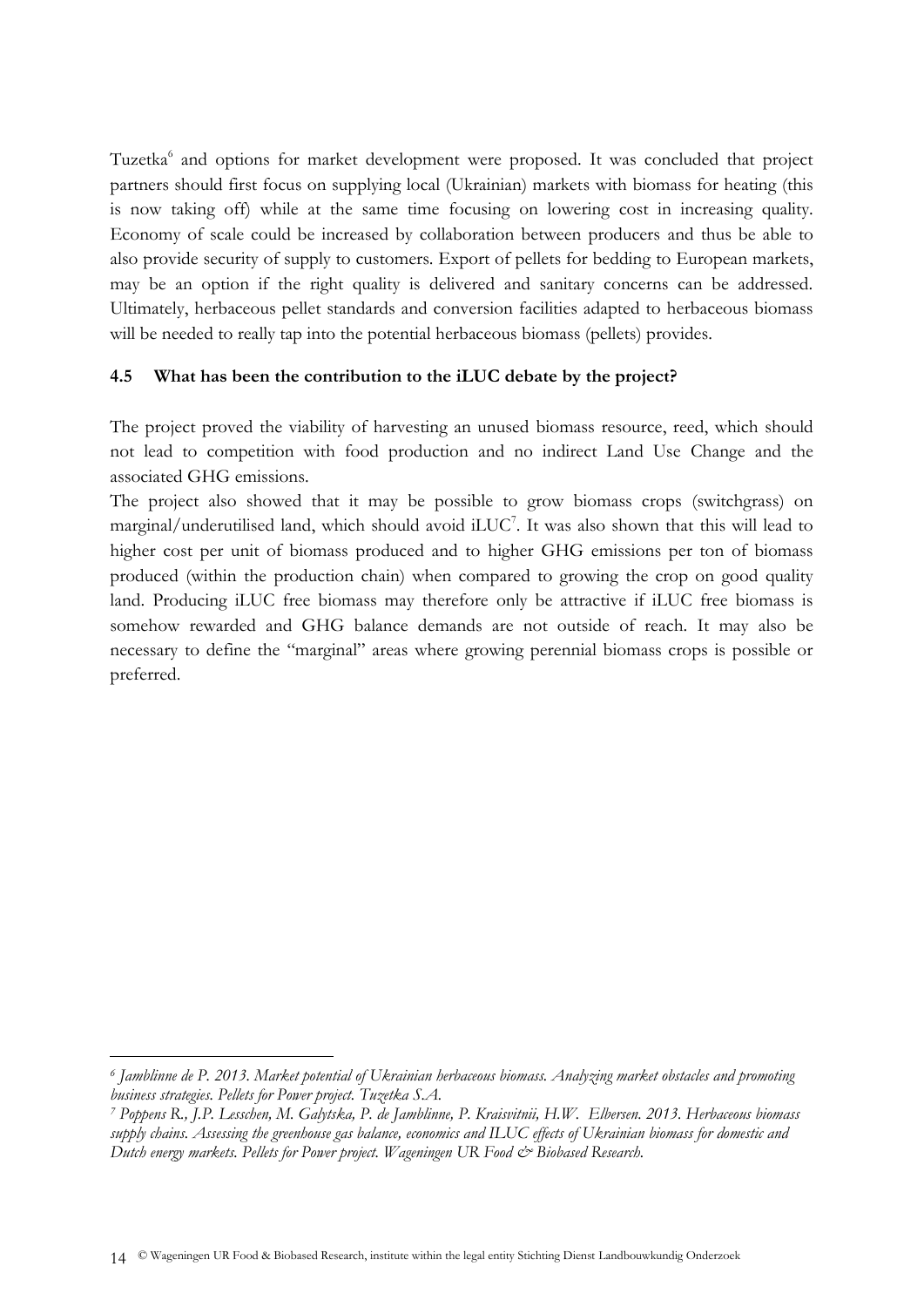Tuzetka<sup>6</sup> and options for market development were proposed. It was concluded that project partners should first focus on supplying local (Ukrainian) markets with biomass for heating (this is now taking off) while at the same time focusing on lowering cost in increasing quality. Economy of scale could be increased by collaboration between producers and thus be able to also provide security of supply to customers. Export of pellets for bedding to European markets, may be an option if the right quality is delivered and sanitary concerns can be addressed. Ultimately, herbaceous pellet standards and conversion facilities adapted to herbaceous biomass will be needed to really tap into the potential herbaceous biomass (pellets) provides.

# <span id="page-13-0"></span>**4.5 What has been the contribution to the iLUC debate by the project?**

The project proved the viability of harvesting an unused biomass resource, reed, which should not lead to competition with food production and no indirect Land Use Change and the associated GHG emissions.

The project also showed that it may be possible to grow biomass crops (switchgrass) on marginal/underutilised land, which should avoid iLUC<sup>7</sup>. It was also shown that this will lead to higher cost per unit of biomass produced and to higher GHG emissions per ton of biomass produced (within the production chain) when compared to growing the crop on good quality land. Producing iLUC free biomass may therefore only be attractive if iLUC free biomass is somehow rewarded and GHG balance demands are not outside of reach. It may also be necessary to define the "marginal" areas where growing perennial biomass crops is possible or preferred.

-

*<sup>6</sup> Jamblinne de P. 2013. Market potential of Ukrainian herbaceous biomass. Analyzing market obstacles and promoting business strategies. Pellets for Power project. Tuzetka S.A.*

*<sup>7</sup> Poppens R., J.P. Lesschen, M. Galytska, P. de Jamblinne, P. Kraisvitnii, H.W. Elbersen. 2013. Herbaceous biomass supply chains. Assessing the greenhouse gas balance, economics and ILUC effects of Ukrainian biomass for domestic and Dutch energy markets. Pellets for Power project. Wageningen UR Food*  $\breve{c}$  *Biobased Research.*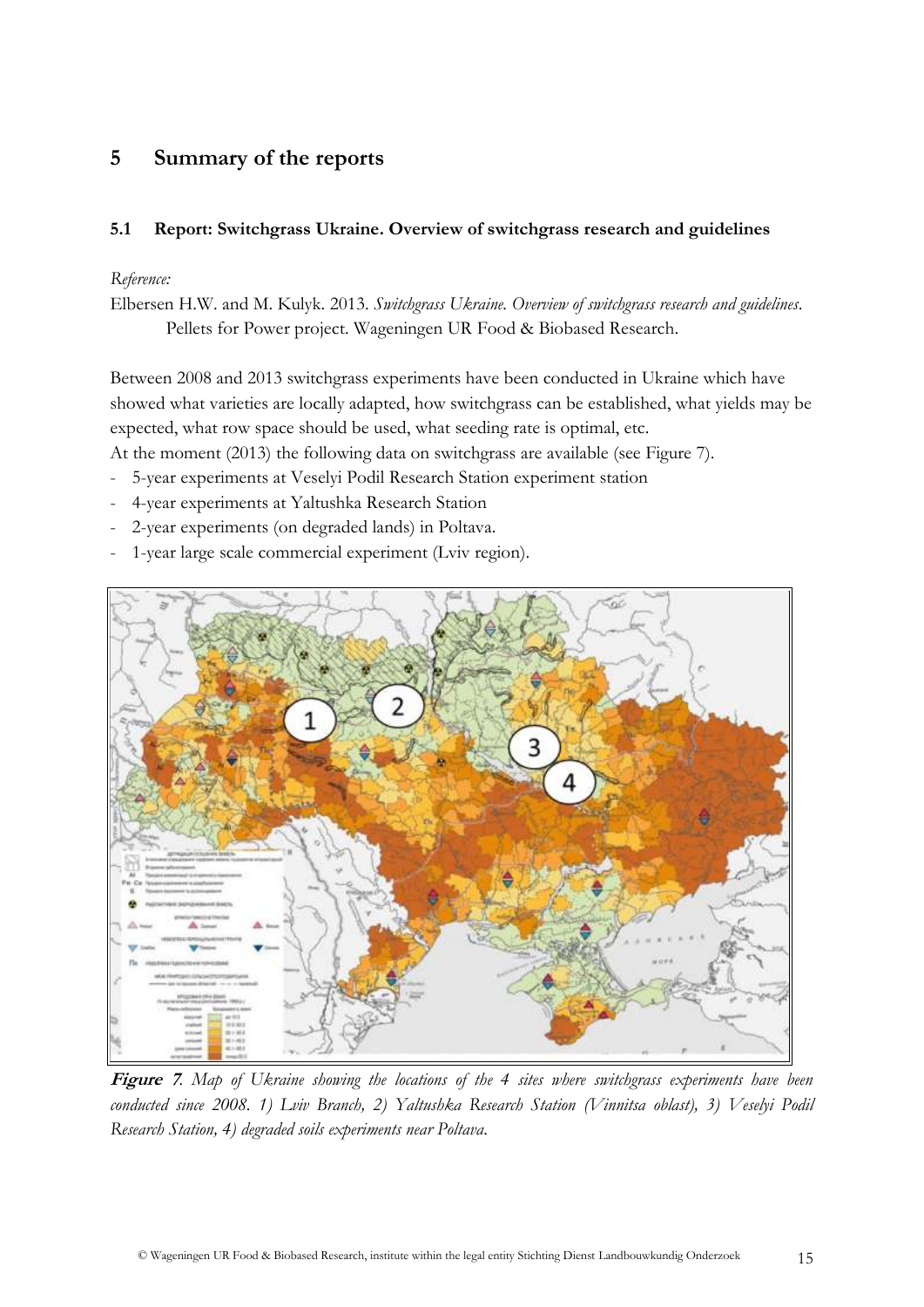# <span id="page-14-0"></span>**5 Summary of the reports**

# <span id="page-14-1"></span>**5.1 Report: Switchgrass Ukraine. Overview of switchgrass research and guidelines**

## *Reference:*

Elbersen H.W. and M. Kulyk. 2013. *Switchgrass Ukraine. Overview of switchgrass research and guidelines*. Pellets for Power project. Wageningen UR Food & Biobased Research.

Between 2008 and 2013 switchgrass experiments have been conducted in Ukraine which have showed what varieties are locally adapted, how switchgrass can be established, what yields may be expected, what row space should be used, what seeding rate is optimal, etc.

At the moment (2013) the following data on switchgrass are available (see Figure 7).

- 5-year experiments at Veselyi Podil Research Station experiment station
- 4-year experiments at Yaltushka Research Station
- 2-year experiments (on degraded lands) in Poltava.
- 1-year large scale commercial experiment (Lviv region).



**Figure 7***. Map of Ukraine showing the locations of the 4 sites where switchgrass experiments have been conducted since 2008. 1) Lviv Branch, 2) Yaltushka Research Station (Vinnitsa oblast), 3) Veselyi Podil Research Station, 4) degraded soils experiments near Poltava.*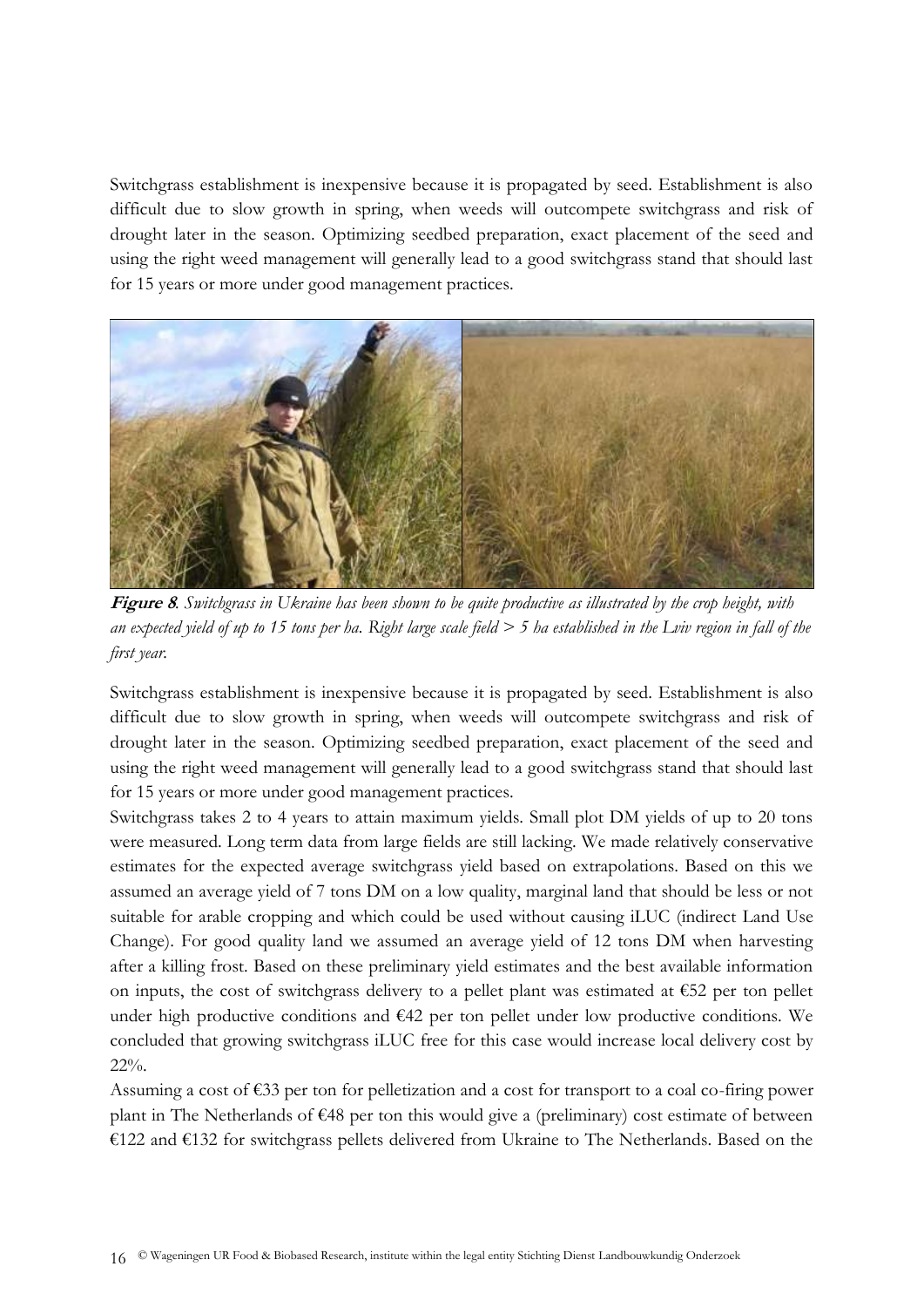Switchgrass establishment is inexpensive because it is propagated by seed. Establishment is also difficult due to slow growth in spring, when weeds will outcompete switchgrass and risk of drought later in the season. Optimizing seedbed preparation, exact placement of the seed and using the right weed management will generally lead to a good switchgrass stand that should last for 15 years or more under good management practices.



**Figure 8***. Switchgrass in Ukraine has been shown to be quite productive as illustrated by the crop height, with an expected yield of up to 15 tons per ha. Right large scale field > 5 ha established in the Lviv region in fall of the first year.*

Switchgrass establishment is inexpensive because it is propagated by seed. Establishment is also difficult due to slow growth in spring, when weeds will outcompete switchgrass and risk of drought later in the season. Optimizing seedbed preparation, exact placement of the seed and using the right weed management will generally lead to a good switchgrass stand that should last for 15 years or more under good management practices.

Switchgrass takes 2 to 4 years to attain maximum yields. Small plot DM yields of up to 20 tons were measured. Long term data from large fields are still lacking. We made relatively conservative estimates for the expected average switchgrass yield based on extrapolations. Based on this we assumed an average yield of 7 tons DM on a low quality, marginal land that should be less or not suitable for arable cropping and which could be used without causing iLUC (indirect Land Use Change). For good quality land we assumed an average yield of 12 tons DM when harvesting after a killing frost. Based on these preliminary yield estimates and the best available information on inputs, the cost of switchgrass delivery to a pellet plant was estimated at  $\epsilon$ 52 per ton pellet under high productive conditions and  $642$  per ton pellet under low productive conditions. We concluded that growing switchgrass iLUC free for this case would increase local delivery cost by 22%.

Assuming a cost of €33 per ton for pelletization and a cost for transport to a coal co-firing power plant in The Netherlands of €48 per ton this would give a (preliminary) cost estimate of between €122 and €132 for switchgrass pellets delivered from Ukraine to The Netherlands. Based on the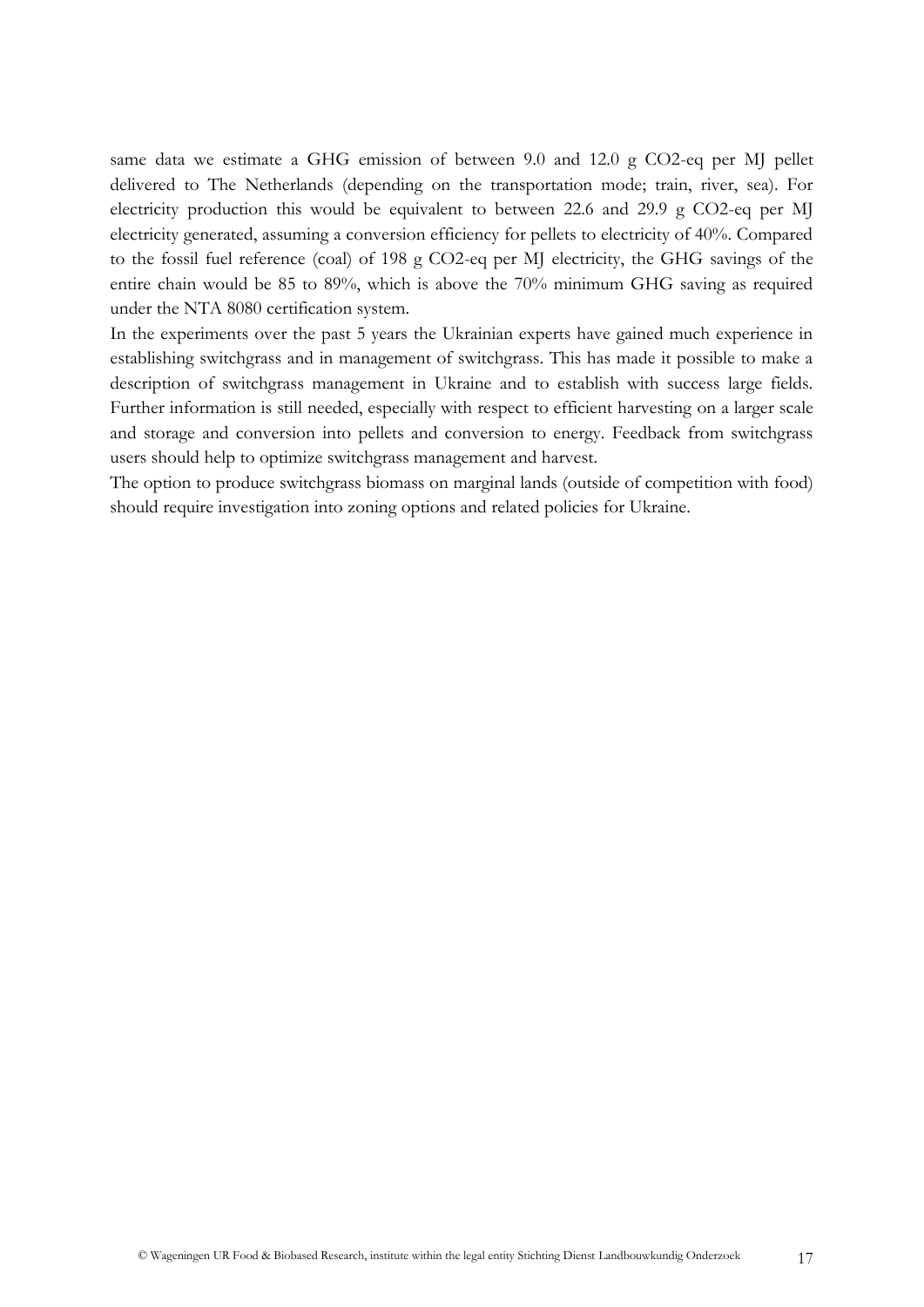same data we estimate a GHG emission of between 9.0 and 12.0 g CO2-eq per MJ pellet delivered to The Netherlands (depending on the transportation mode; train, river, sea). For electricity production this would be equivalent to between 22.6 and 29.9 g CO2-eq per MJ electricity generated, assuming a conversion efficiency for pellets to electricity of 40%. Compared to the fossil fuel reference (coal) of 198 g CO2-eq per MJ electricity, the GHG savings of the entire chain would be 85 to 89%, which is above the 70% minimum GHG saving as required under the NTA 8080 certification system.

In the experiments over the past 5 years the Ukrainian experts have gained much experience in establishing switchgrass and in management of switchgrass. This has made it possible to make a description of switchgrass management in Ukraine and to establish with success large fields. Further information is still needed, especially with respect to efficient harvesting on a larger scale and storage and conversion into pellets and conversion to energy. Feedback from switchgrass users should help to optimize switchgrass management and harvest.

The option to produce switchgrass biomass on marginal lands (outside of competition with food) should require investigation into zoning options and related policies for Ukraine.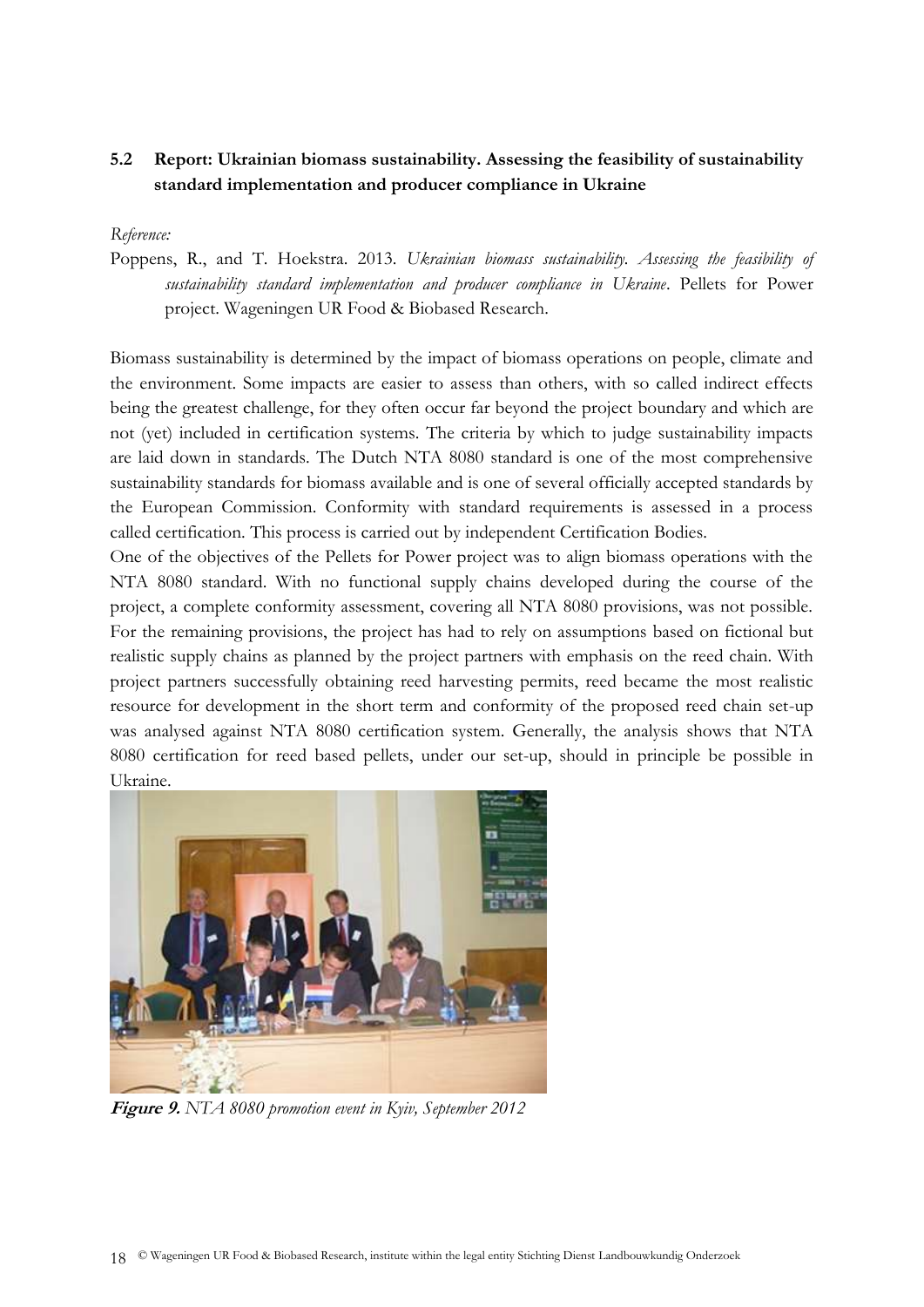# <span id="page-17-0"></span>**5.2 Report: Ukrainian biomass sustainability. Assessing the feasibility of sustainability standard implementation and producer compliance in Ukraine**

#### *Reference:*

Poppens, R., and T. Hoekstra. 2013. *Ukrainian biomass sustainability. Assessing the feasibility of sustainability standard implementation and producer compliance in Ukraine*. Pellets for Power project. Wageningen UR Food & Biobased Research.

Biomass sustainability is determined by the impact of biomass operations on people, climate and the environment. Some impacts are easier to assess than others, with so called indirect effects being the greatest challenge, for they often occur far beyond the project boundary and which are not (yet) included in certification systems. The criteria by which to judge sustainability impacts are laid down in standards. The Dutch NTA 8080 standard is one of the most comprehensive sustainability standards for biomass available and is one of several officially accepted standards by the European Commission. Conformity with standard requirements is assessed in a process called certification. This process is carried out by independent Certification Bodies.

One of the objectives of the Pellets for Power project was to align biomass operations with the NTA 8080 standard. With no functional supply chains developed during the course of the project, a complete conformity assessment, covering all NTA 8080 provisions, was not possible. For the remaining provisions, the project has had to rely on assumptions based on fictional but realistic supply chains as planned by the project partners with emphasis on the reed chain. With project partners successfully obtaining reed harvesting permits, reed became the most realistic resource for development in the short term and conformity of the proposed reed chain set-up was analysed against NTA 8080 certification system. Generally, the analysis shows that NTA 8080 certification for reed based pellets, under our set-up, should in principle be possible in Ukraine.



**Figure 9.** *NTA 8080 promotion event in Kyiv, September 2012*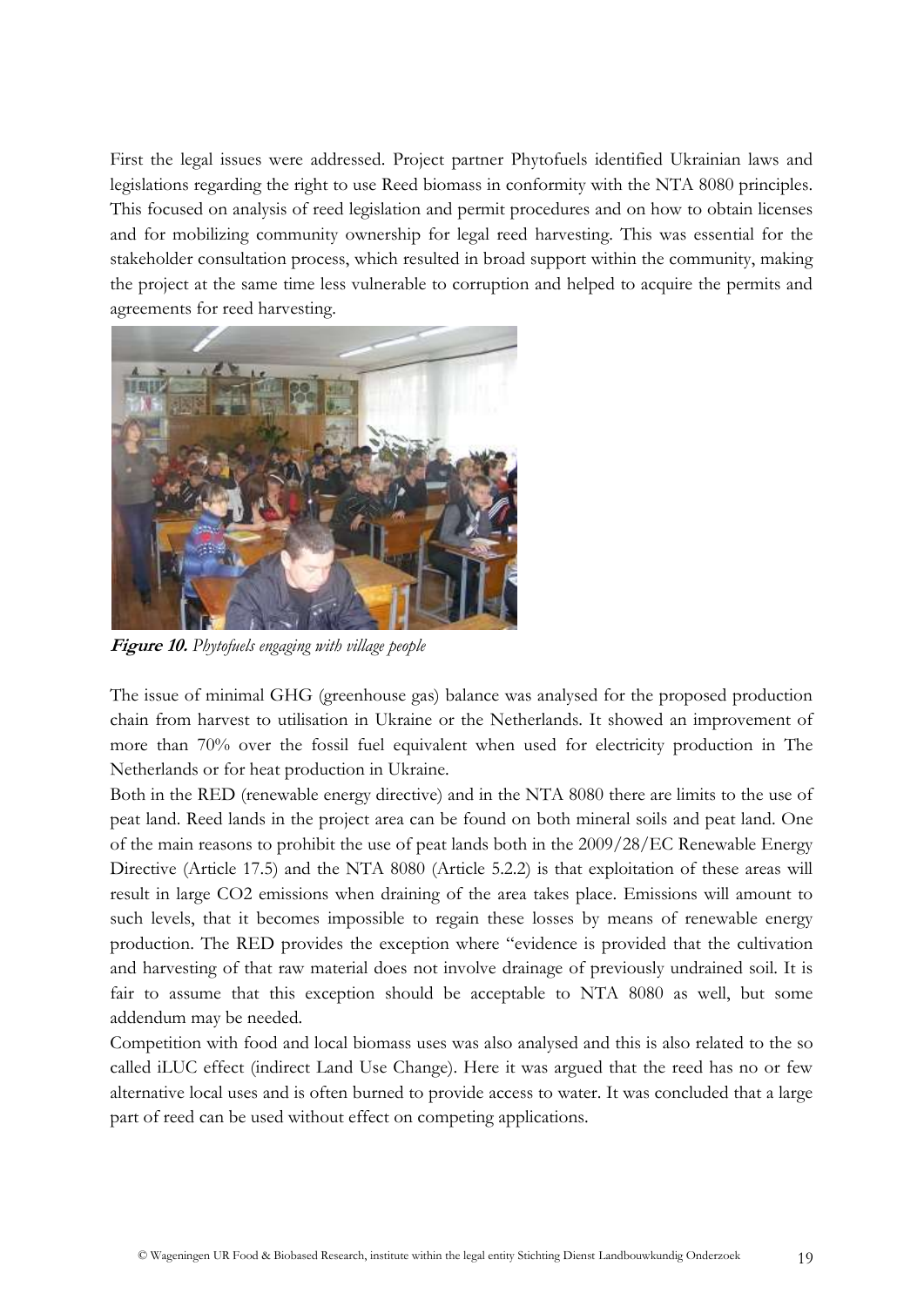First the legal issues were addressed. Project partner Phytofuels identified Ukrainian laws and legislations regarding the right to use Reed biomass in conformity with the NTA 8080 principles. This focused on analysis of reed legislation and permit procedures and on how to obtain licenses and for mobilizing community ownership for legal reed harvesting. This was essential for the stakeholder consultation process, which resulted in broad support within the community, making the project at the same time less vulnerable to corruption and helped to acquire the permits and agreements for reed harvesting.



**Figure 10.** *Phytofuels engaging with village people*

The issue of minimal GHG (greenhouse gas) balance was analysed for the proposed production chain from harvest to utilisation in Ukraine or the Netherlands. It showed an improvement of more than 70% over the fossil fuel equivalent when used for electricity production in The Netherlands or for heat production in Ukraine.

Both in the RED (renewable energy directive) and in the NTA 8080 there are limits to the use of peat land. Reed lands in the project area can be found on both mineral soils and peat land. One of the main reasons to prohibit the use of peat lands both in the 2009/28/EC Renewable Energy Directive (Article 17.5) and the NTA 8080 (Article 5.2.2) is that exploitation of these areas will result in large CO2 emissions when draining of the area takes place. Emissions will amount to such levels, that it becomes impossible to regain these losses by means of renewable energy production. The RED provides the exception where "evidence is provided that the cultivation and harvesting of that raw material does not involve drainage of previously undrained soil. It is fair to assume that this exception should be acceptable to NTA 8080 as well, but some addendum may be needed.

Competition with food and local biomass uses was also analysed and this is also related to the so called iLUC effect (indirect Land Use Change). Here it was argued that the reed has no or few alternative local uses and is often burned to provide access to water. It was concluded that a large part of reed can be used without effect on competing applications.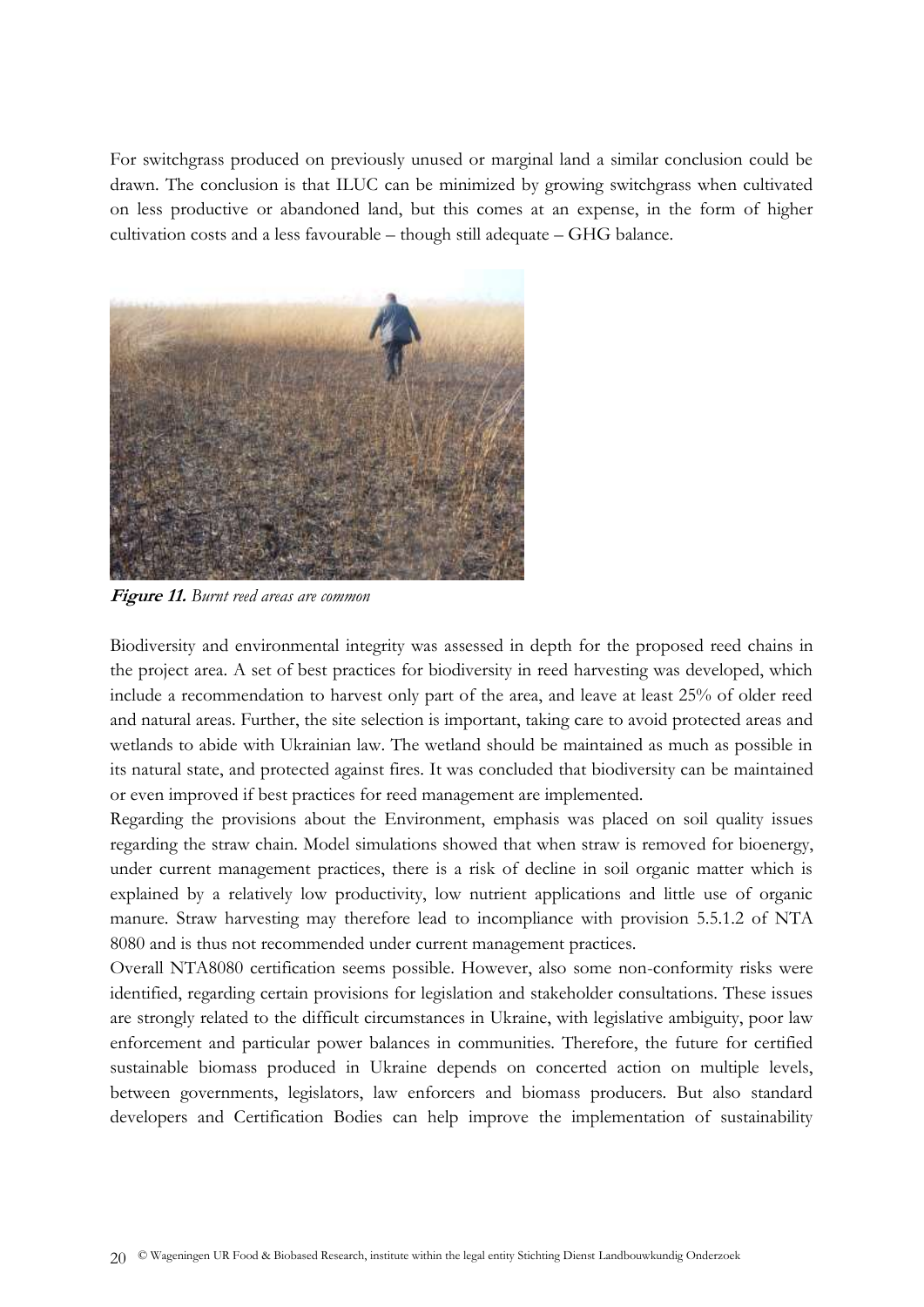For switchgrass produced on previously unused or marginal land a similar conclusion could be drawn. The conclusion is that ILUC can be minimized by growing switchgrass when cultivated on less productive or abandoned land, but this comes at an expense, in the form of higher cultivation costs and a less favourable – though still adequate – GHG balance.



**Figure 11.** *Burnt reed areas are common*

Biodiversity and environmental integrity was assessed in depth for the proposed reed chains in the project area. A set of best practices for biodiversity in reed harvesting was developed, which include a recommendation to harvest only part of the area, and leave at least 25% of older reed and natural areas. Further, the site selection is important, taking care to avoid protected areas and wetlands to abide with Ukrainian law. The wetland should be maintained as much as possible in its natural state, and protected against fires. It was concluded that biodiversity can be maintained or even improved if best practices for reed management are implemented.

Regarding the provisions about the Environment, emphasis was placed on soil quality issues regarding the straw chain. Model simulations showed that when straw is removed for bioenergy, under current management practices, there is a risk of decline in soil organic matter which is explained by a relatively low productivity, low nutrient applications and little use of organic manure. Straw harvesting may therefore lead to incompliance with provision 5.5.1.2 of NTA 8080 and is thus not recommended under current management practices.

Overall NTA8080 certification seems possible. However, also some non-conformity risks were identified, regarding certain provisions for legislation and stakeholder consultations. These issues are strongly related to the difficult circumstances in Ukraine, with legislative ambiguity, poor law enforcement and particular power balances in communities. Therefore, the future for certified sustainable biomass produced in Ukraine depends on concerted action on multiple levels, between governments, legislators, law enforcers and biomass producers. But also standard developers and Certification Bodies can help improve the implementation of sustainability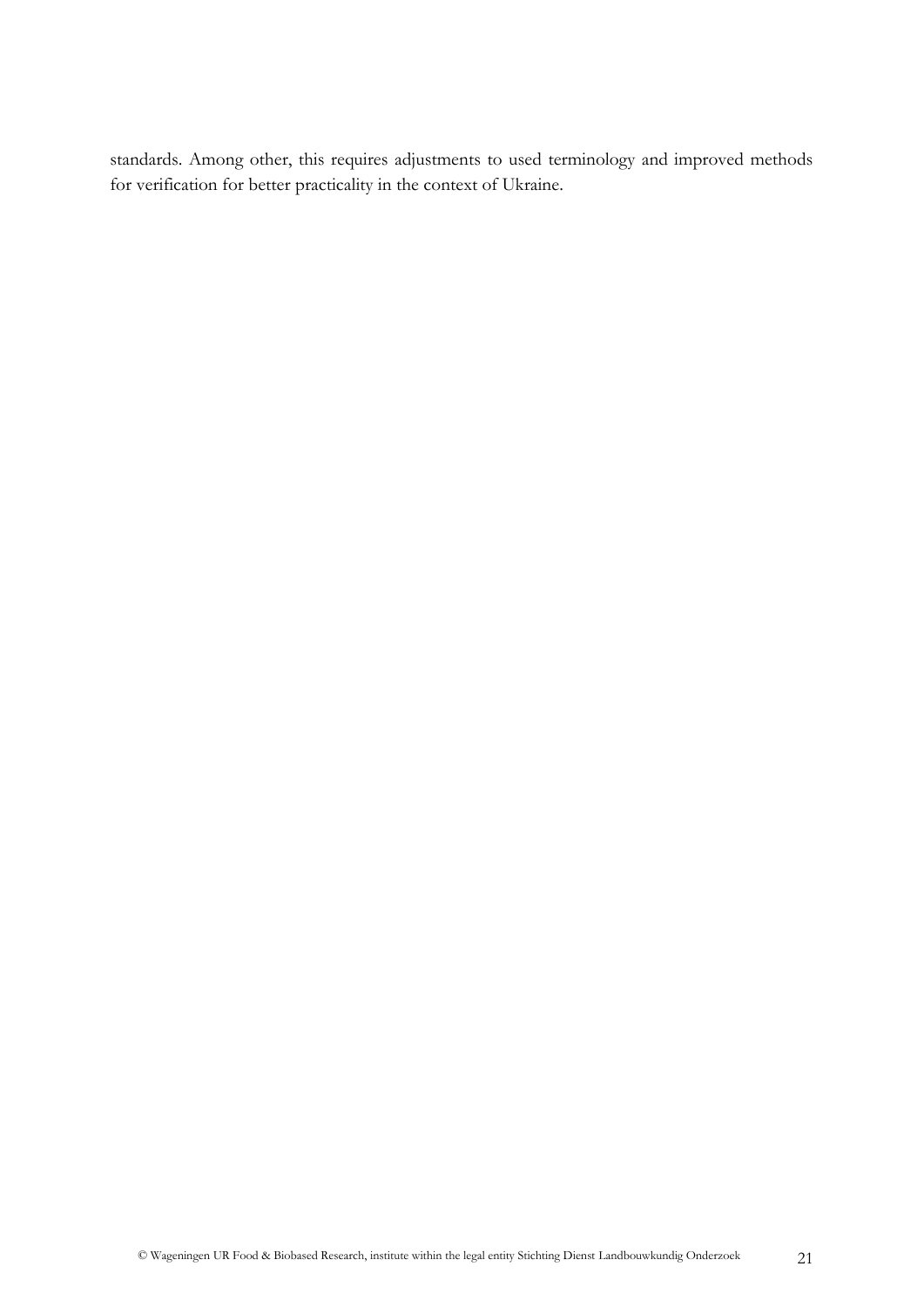standards. Among other, this requires adjustments to used terminology and improved methods for verification for better practicality in the context of Ukraine.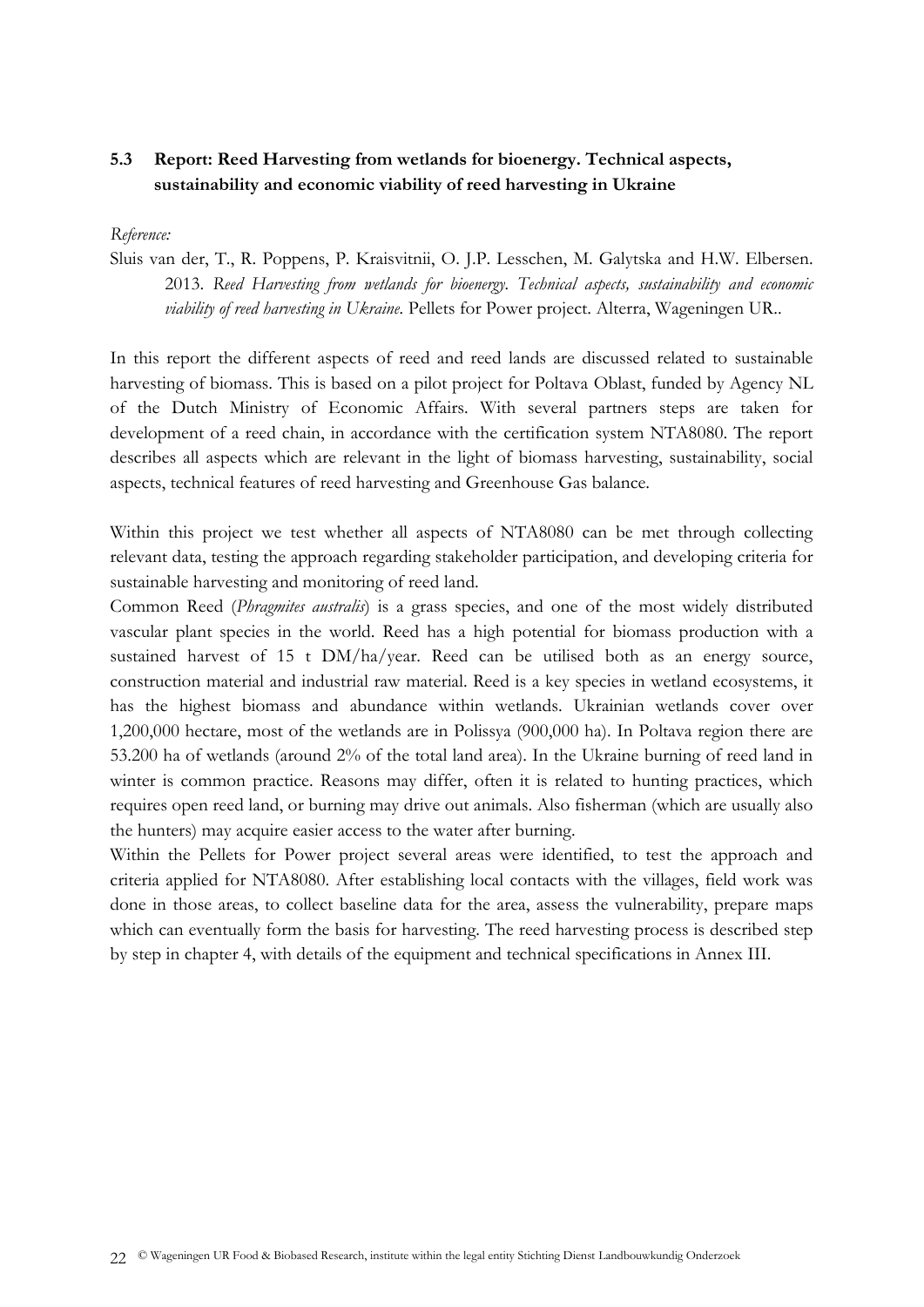# <span id="page-21-0"></span>**5.3 Report: Reed Harvesting from wetlands for bioenergy. Technical aspects, sustainability and economic viability of reed harvesting in Ukraine**

#### *Reference:*

Sluis van der, T., R. Poppens, P. Kraisvitnii, O. J.P. Lesschen, M. Galytska and H.W. Elbersen. 2013. *Reed Harvesting from wetlands for bioenergy. Technical aspects, sustainability and economic viability of reed harvesting in Ukraine.* Pellets for Power project. Alterra, Wageningen UR..

In this report the different aspects of reed and reed lands are discussed related to sustainable harvesting of biomass. This is based on a pilot project for Poltava Oblast, funded by Agency NL of the Dutch Ministry of Economic Affairs. With several partners steps are taken for development of a reed chain, in accordance with the certification system NTA8080. The report describes all aspects which are relevant in the light of biomass harvesting, sustainability, social aspects, technical features of reed harvesting and Greenhouse Gas balance.

Within this project we test whether all aspects of NTA8080 can be met through collecting relevant data, testing the approach regarding stakeholder participation, and developing criteria for sustainable harvesting and monitoring of reed land.

Common Reed (*Phragmites australis*) is a grass species, and one of the most widely distributed vascular plant species in the world. Reed has a high potential for biomass production with a sustained harvest of 15 t DM/ha/year. Reed can be utilised both as an energy source, construction material and industrial raw material. Reed is a key species in wetland ecosystems, it has the highest biomass and abundance within wetlands. Ukrainian wetlands cover over 1,200,000 hectare, most of the wetlands are in Polissya (900,000 ha). In Poltava region there are 53.200 ha of wetlands (around 2% of the total land area). In the Ukraine burning of reed land in winter is common practice. Reasons may differ, often it is related to hunting practices, which requires open reed land, or burning may drive out animals. Also fisherman (which are usually also the hunters) may acquire easier access to the water after burning.

Within the Pellets for Power project several areas were identified, to test the approach and criteria applied for NTA8080. After establishing local contacts with the villages, field work was done in those areas, to collect baseline data for the area, assess the vulnerability, prepare maps which can eventually form the basis for harvesting. The reed harvesting process is described step by step in chapter 4, with details of the equipment and technical specifications in Annex III.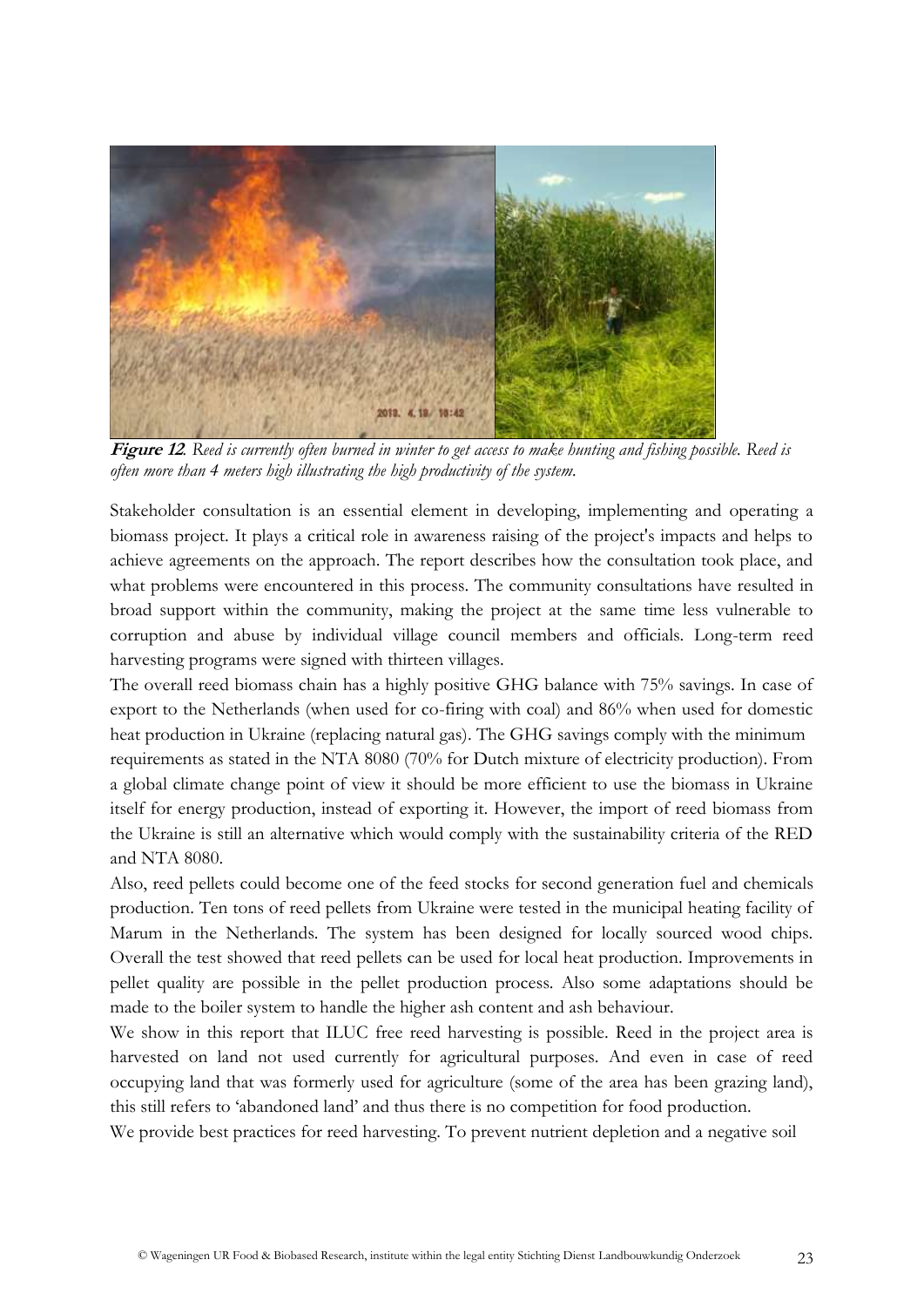

**Figure 12***. Reed is currently often burned in winter to get access to make hunting and fishing possible. Reed is often more than 4 meters high illustrating the high productivity of the system.*

Stakeholder consultation is an essential element in developing, implementing and operating a biomass project. It plays a critical role in awareness raising of the project's impacts and helps to achieve agreements on the approach. The report describes how the consultation took place, and what problems were encountered in this process. The community consultations have resulted in broad support within the community, making the project at the same time less vulnerable to corruption and abuse by individual village council members and officials. Long-term reed harvesting programs were signed with thirteen villages.

The overall reed biomass chain has a highly positive GHG balance with 75% savings. In case of export to the Netherlands (when used for co-firing with coal) and 86% when used for domestic heat production in Ukraine (replacing natural gas). The GHG savings comply with the minimum requirements as stated in the NTA 8080 (70% for Dutch mixture of electricity production). From a global climate change point of view it should be more efficient to use the biomass in Ukraine itself for energy production, instead of exporting it. However, the import of reed biomass from the Ukraine is still an alternative which would comply with the sustainability criteria of the RED and NTA 8080.

Also, reed pellets could become one of the feed stocks for second generation fuel and chemicals production. Ten tons of reed pellets from Ukraine were tested in the municipal heating facility of Marum in the Netherlands. The system has been designed for locally sourced wood chips. Overall the test showed that reed pellets can be used for local heat production. Improvements in pellet quality are possible in the pellet production process. Also some adaptations should be made to the boiler system to handle the higher ash content and ash behaviour.

We show in this report that ILUC free reed harvesting is possible. Reed in the project area is harvested on land not used currently for agricultural purposes. And even in case of reed occupying land that was formerly used for agriculture (some of the area has been grazing land), this still refers to 'abandoned land' and thus there is no competition for food production.

We provide best practices for reed harvesting. To prevent nutrient depletion and a negative soil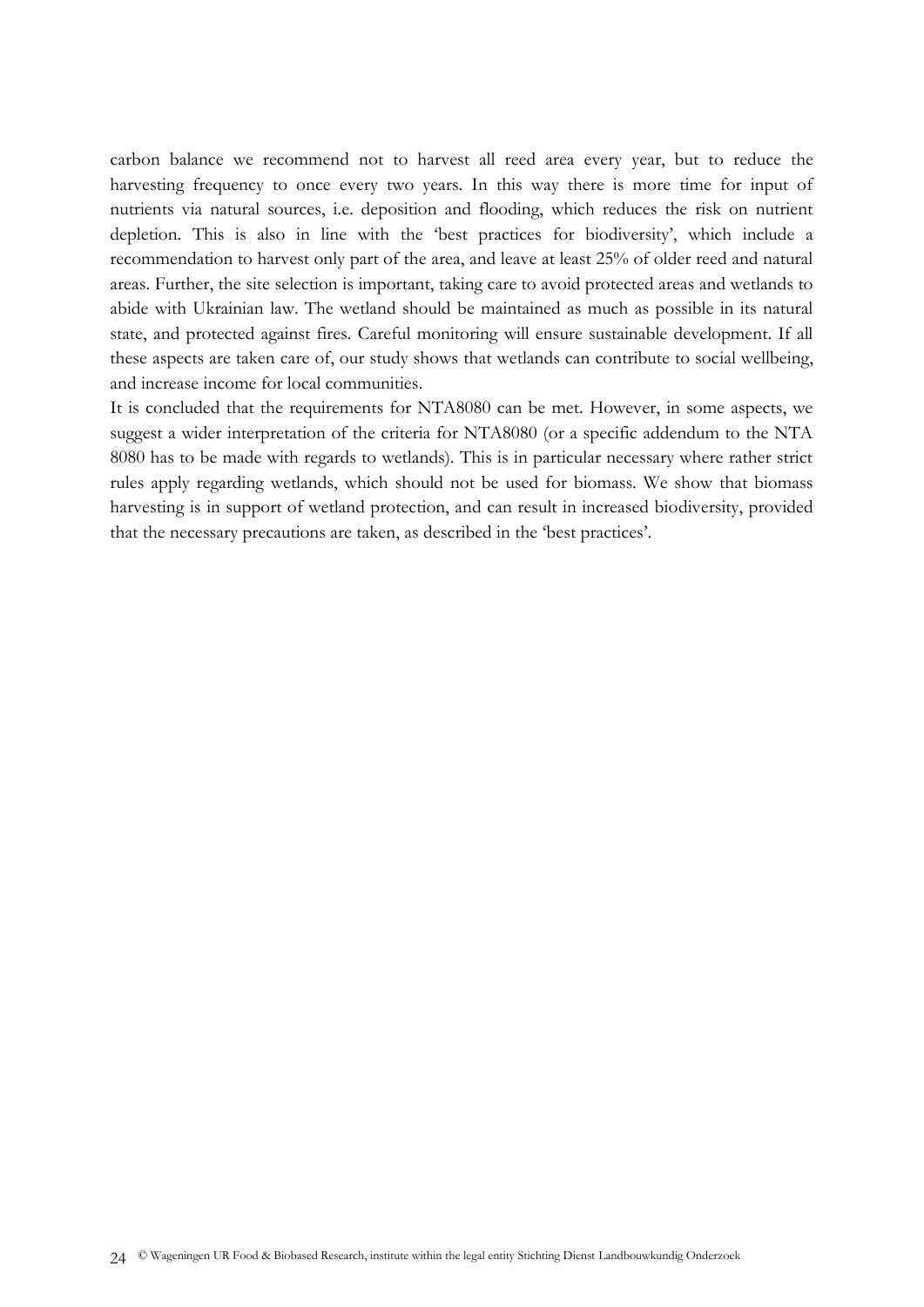carbon balance we recommend not to harvest all reed area every year, but to reduce the harvesting frequency to once every two years. In this way there is more time for input of nutrients via natural sources, i.e. deposition and flooding, which reduces the risk on nutrient depletion. This is also in line with the 'best practices for biodiversity', which include a recommendation to harvest only part of the area, and leave at least 25% of older reed and natural areas. Further, the site selection is important, taking care to avoid protected areas and wetlands to abide with Ukrainian law. The wetland should be maintained as much as possible in its natural state, and protected against fires. Careful monitoring will ensure sustainable development. If all these aspects are taken care of, our study shows that wetlands can contribute to social wellbeing, and increase income for local communities.

It is concluded that the requirements for NTA8080 can be met. However, in some aspects, we suggest a wider interpretation of the criteria for NTA8080 (or a specific addendum to the NTA 8080 has to be made with regards to wetlands). This is in particular necessary where rather strict rules apply regarding wetlands, which should not be used for biomass. We show that biomass harvesting is in support of wetland protection, and can result in increased biodiversity, provided that the necessary precautions are taken, as described in the 'best practices'.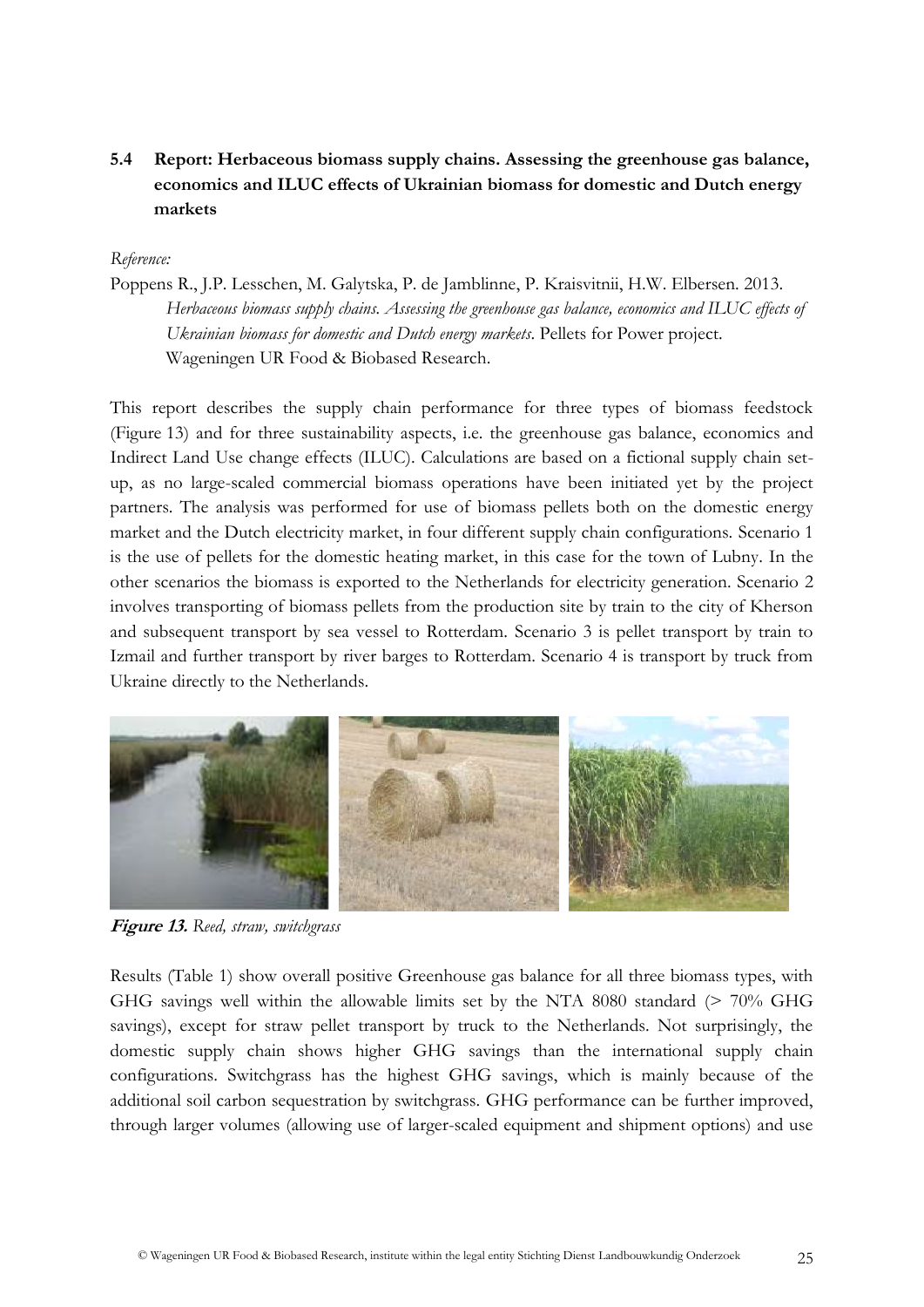# <span id="page-24-0"></span>**5.4 Report: Herbaceous biomass supply chains. Assessing the greenhouse gas balance, economics and ILUC effects of Ukrainian biomass for domestic and Dutch energy markets**

#### *Reference:*

Poppens R., J.P. Lesschen, M. Galytska, P. de Jamblinne, P. Kraisvitnii, H.W. Elbersen. 2013. *Herbaceous biomass supply chains. Assessing the greenhouse gas balance, economics and ILUC effects of Ukrainian biomass for domestic and Dutch energy markets*. Pellets for Power project. Wageningen UR Food & Biobased Research.

This report describes the supply chain performance for three types of biomass feedstock (Figure 13) and for three sustainability aspects, i.e. the greenhouse gas balance, economics and Indirect Land Use change effects (ILUC). Calculations are based on a fictional supply chain setup, as no large-scaled commercial biomass operations have been initiated yet by the project partners. The analysis was performed for use of biomass pellets both on the domestic energy market and the Dutch electricity market, in four different supply chain configurations. Scenario 1 is the use of pellets for the domestic heating market, in this case for the town of Lubny. In the other scenarios the biomass is exported to the Netherlands for electricity generation. Scenario 2 involves transporting of biomass pellets from the production site by train to the city of Kherson and subsequent transport by sea vessel to Rotterdam. Scenario 3 is pellet transport by train to Izmail and further transport by river barges to Rotterdam. Scenario 4 is transport by truck from Ukraine directly to the Netherlands.



**Figure 13.** *Reed, straw, switchgrass*

Results (Table 1) show overall positive Greenhouse gas balance for all three biomass types, with GHG savings well within the allowable limits set by the NTA 8080 standard (> 70% GHG savings), except for straw pellet transport by truck to the Netherlands. Not surprisingly, the domestic supply chain shows higher GHG savings than the international supply chain configurations. Switchgrass has the highest GHG savings, which is mainly because of the additional soil carbon sequestration by switchgrass. GHG performance can be further improved, through larger volumes (allowing use of larger-scaled equipment and shipment options) and use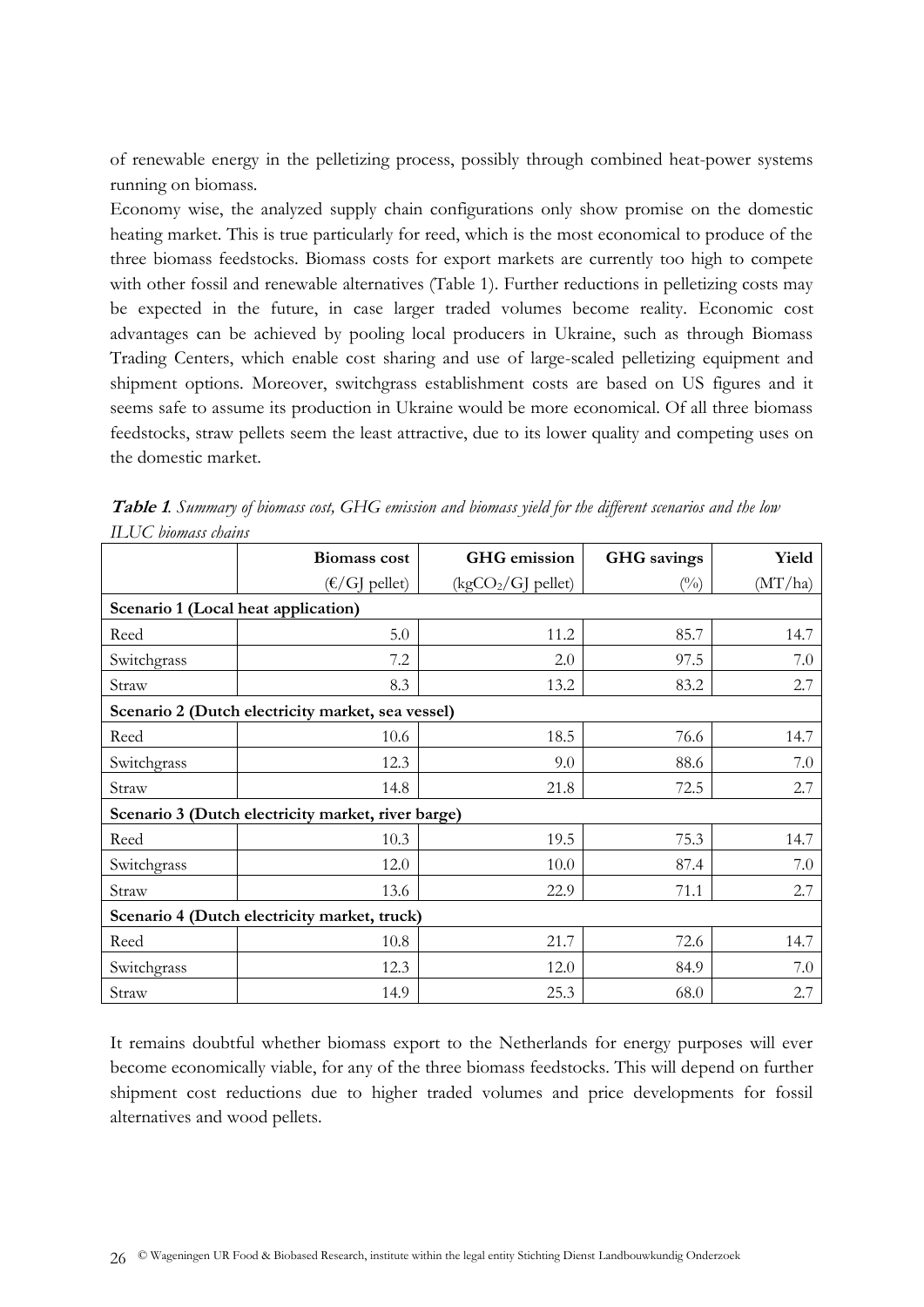of renewable energy in the pelletizing process, possibly through combined heat-power systems running on biomass.

Economy wise, the analyzed supply chain configurations only show promise on the domestic heating market. This is true particularly for reed, which is the most economical to produce of the three biomass feedstocks. Biomass costs for export markets are currently too high to compete with other fossil and renewable alternatives (Table 1). Further reductions in pelletizing costs may be expected in the future, in case larger traded volumes become reality. Economic cost advantages can be achieved by pooling local producers in Ukraine, such as through Biomass Trading Centers, which enable cost sharing and use of large-scaled pelletizing equipment and shipment options. Moreover, switchgrass establishment costs are based on US figures and it seems safe to assume its production in Ukraine would be more economical. Of all three biomass feedstocks, straw pellets seem the least attractive, due to its lower quality and competing uses on the domestic market.

|                                                    | <b>Biomass cost</b> | <b>GHG</b> emission | <b>GHG</b> savings | Yield   |  |  |  |
|----------------------------------------------------|---------------------|---------------------|--------------------|---------|--|--|--|
|                                                    | $(E/G]$ pellet)     | $(kgCO2/GI$ pellet) | $(\%)$             | (MT/ha) |  |  |  |
| Scenario 1 (Local heat application)                |                     |                     |                    |         |  |  |  |
| Reed                                               | 5.0                 | 11.2                | 85.7               | 14.7    |  |  |  |
| Switchgrass                                        | 7.2                 | 2.0                 | 97.5               | 7.0     |  |  |  |
| Straw                                              | 8.3                 | 13.2                | 83.2               | 2.7     |  |  |  |
| Scenario 2 (Dutch electricity market, sea vessel)  |                     |                     |                    |         |  |  |  |
| Reed                                               | 10.6                | 18.5                | 76.6               | 14.7    |  |  |  |
| Switchgrass                                        | 12.3                | 9.0                 | 88.6               | 7.0     |  |  |  |
| Straw                                              | 14.8                | 21.8                | 72.5               | 2.7     |  |  |  |
| Scenario 3 (Dutch electricity market, river barge) |                     |                     |                    |         |  |  |  |
| Reed                                               | 10.3                | 19.5                | 75.3               | 14.7    |  |  |  |
| Switchgrass                                        | 12.0                | 10.0                | 87.4               | 7.0     |  |  |  |
| Straw                                              | 13.6                | 22.9                | 71.1               | 2.7     |  |  |  |
| Scenario 4 (Dutch electricity market, truck)       |                     |                     |                    |         |  |  |  |
| Reed                                               | 10.8                | 21.7                | 72.6               | 14.7    |  |  |  |
| Switchgrass                                        | 12.3                | 12.0                | 84.9               | 7.0     |  |  |  |
| Straw                                              | 14.9                | 25.3                | 68.0               | 2.7     |  |  |  |

**Table 1***. Summary of biomass cost, GHG emission and biomass yield for the different scenarios and the low ILUC biomass chains*

It remains doubtful whether biomass export to the Netherlands for energy purposes will ever become economically viable, for any of the three biomass feedstocks. This will depend on further shipment cost reductions due to higher traded volumes and price developments for fossil alternatives and wood pellets.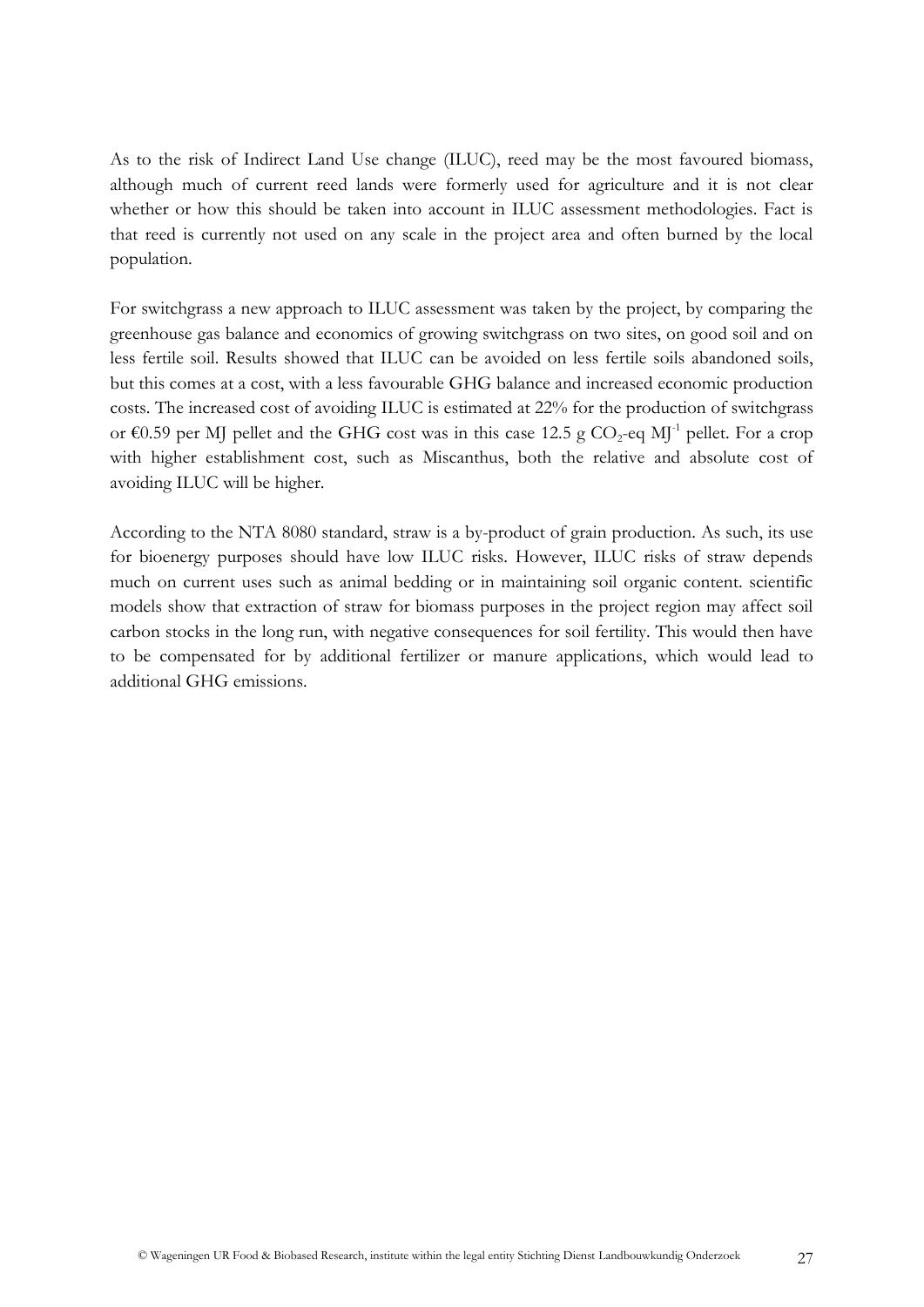As to the risk of Indirect Land Use change (ILUC), reed may be the most favoured biomass, although much of current reed lands were formerly used for agriculture and it is not clear whether or how this should be taken into account in ILUC assessment methodologies. Fact is that reed is currently not used on any scale in the project area and often burned by the local population.

For switchgrass a new approach to ILUC assessment was taken by the project, by comparing the greenhouse gas balance and economics of growing switchgrass on two sites, on good soil and on less fertile soil. Results showed that ILUC can be avoided on less fertile soils abandoned soils, but this comes at a cost, with a less favourable GHG balance and increased economic production costs. The increased cost of avoiding ILUC is estimated at 22% for the production of switchgrass or  $\epsilon$ 0.59 per MJ pellet and the GHG cost was in this case 12.5 g CO<sub>2</sub>-eq MJ<sup>-1</sup> pellet. For a crop with higher establishment cost, such as Miscanthus, both the relative and absolute cost of avoiding ILUC will be higher.

According to the NTA 8080 standard, straw is a by-product of grain production. As such, its use for bioenergy purposes should have low ILUC risks. However, ILUC risks of straw depends much on current uses such as animal bedding or in maintaining soil organic content. scientific models show that extraction of straw for biomass purposes in the project region may affect soil carbon stocks in the long run, with negative consequences for soil fertility. This would then have to be compensated for by additional fertilizer or manure applications, which would lead to additional GHG emissions.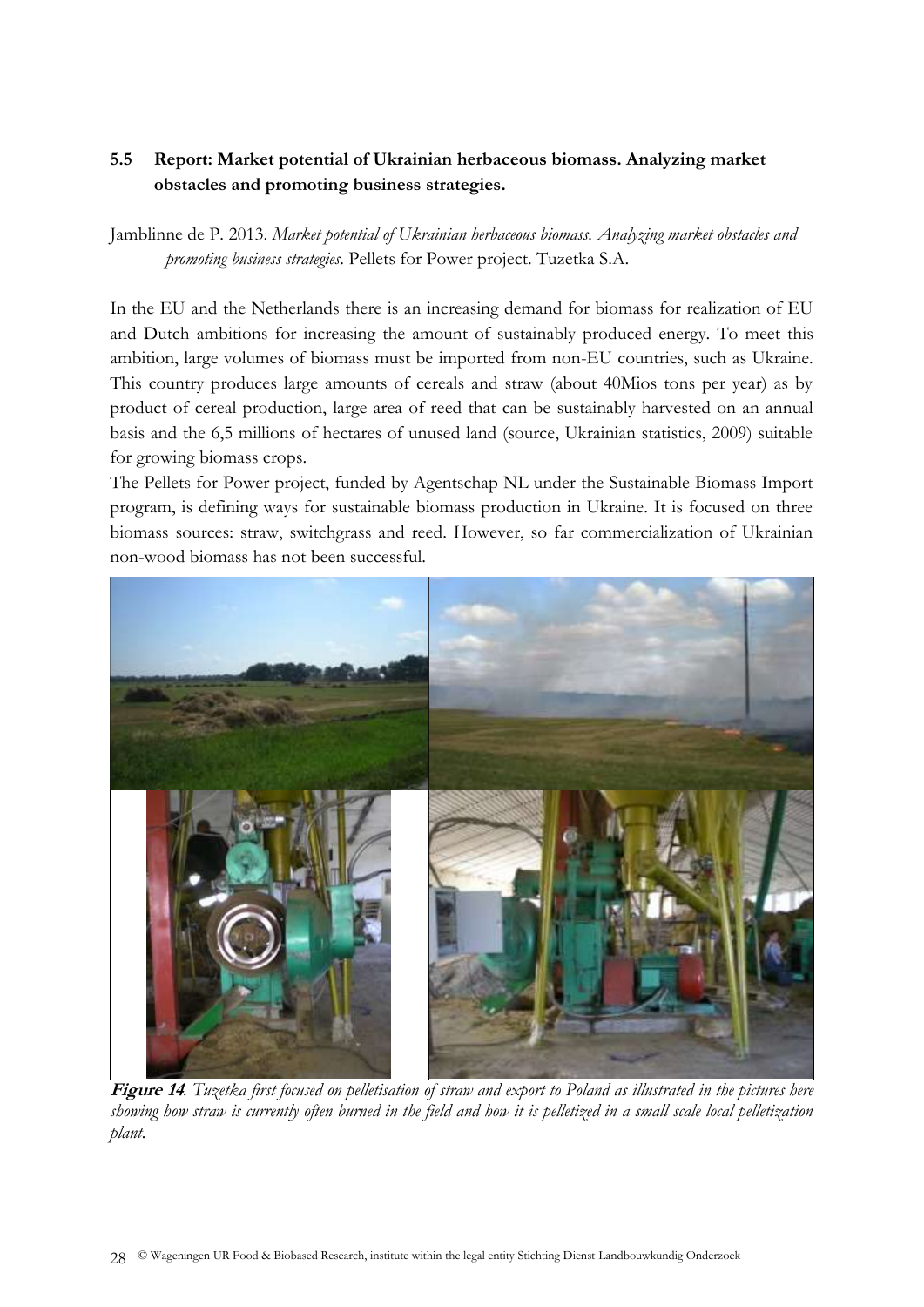# <span id="page-27-0"></span>**5.5 Report: Market potential of Ukrainian herbaceous biomass. Analyzing market obstacles and promoting business strategies.**

Jamblinne de P. 2013. *Market potential of Ukrainian herbaceous biomass. Analyzing market obstacles and promoting business strategies*. Pellets for Power project. Tuzetka S.A.

In the EU and the Netherlands there is an increasing demand for biomass for realization of EU and Dutch ambitions for increasing the amount of sustainably produced energy. To meet this ambition, large volumes of biomass must be imported from non-EU countries, such as Ukraine. This country produces large amounts of cereals and straw (about 40Mios tons per year) as by product of cereal production, large area of reed that can be sustainably harvested on an annual basis and the 6,5 millions of hectares of unused land (source, Ukrainian statistics, 2009) suitable for growing biomass crops.

The Pellets for Power project, funded by Agentschap NL under the Sustainable Biomass Import program, is defining ways for sustainable biomass production in Ukraine. It is focused on three biomass sources: straw, switchgrass and reed. However, so far commercialization of Ukrainian non-wood biomass has not been successful.



**Figure 14***. Tuzetka first focused on pelletisation of straw and export to Poland as illustrated in the pictures here showing how straw is currently often burned in the field and how it is pelletized in a small scale local pelletization plant.*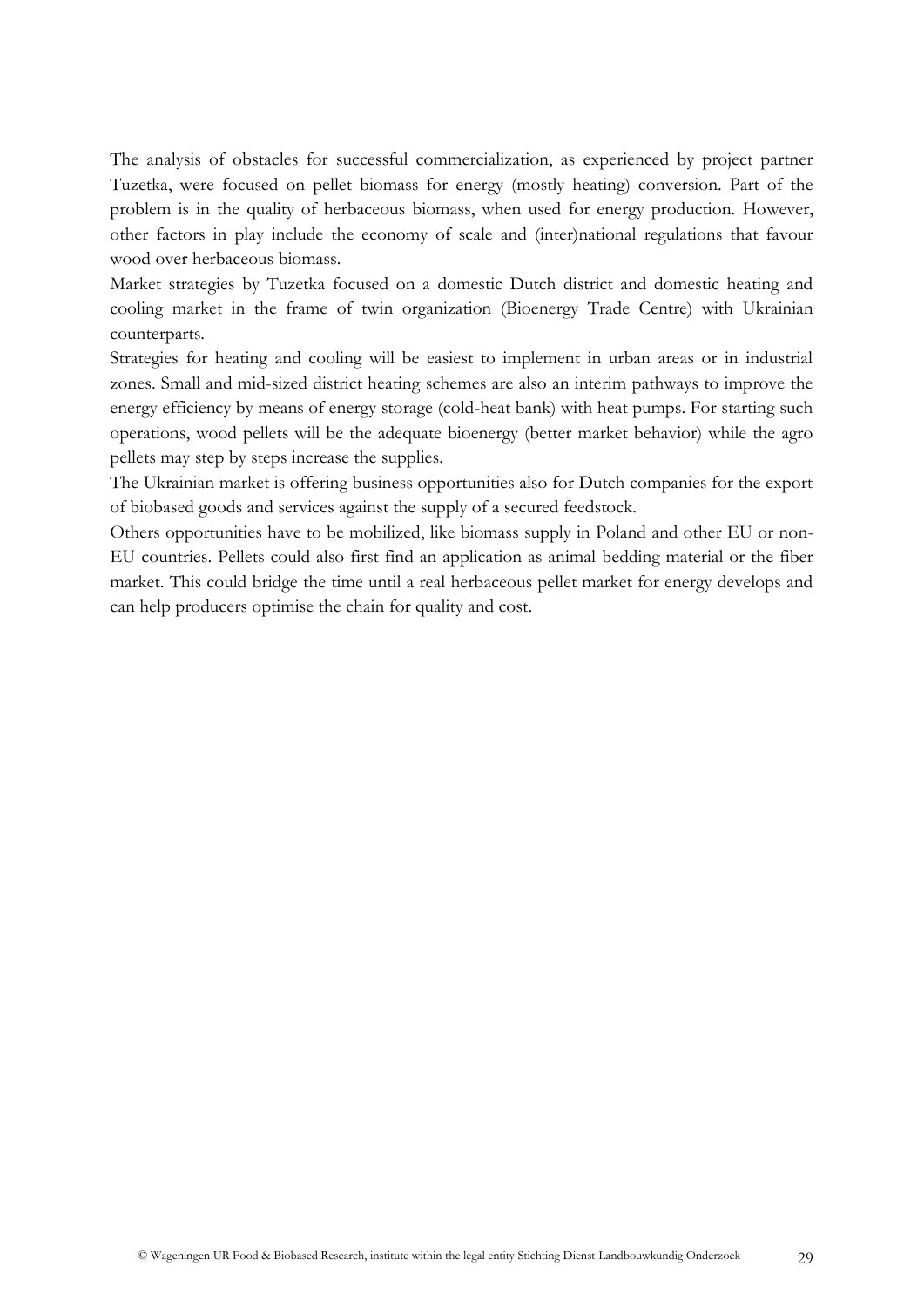The analysis of obstacles for successful commercialization, as experienced by project partner Tuzetka, were focused on pellet biomass for energy (mostly heating) conversion. Part of the problem is in the quality of herbaceous biomass, when used for energy production. However, other factors in play include the economy of scale and (inter)national regulations that favour wood over herbaceous biomass.

Market strategies by Tuzetka focused on a domestic Dutch district and domestic heating and cooling market in the frame of twin organization (Bioenergy Trade Centre) with Ukrainian counterparts.

Strategies for heating and cooling will be easiest to implement in urban areas or in industrial zones. Small and mid-sized district heating schemes are also an interim pathways to improve the energy efficiency by means of energy storage (cold-heat bank) with heat pumps. For starting such operations, wood pellets will be the adequate bioenergy (better market behavior) while the agro pellets may step by steps increase the supplies.

The Ukrainian market is offering business opportunities also for Dutch companies for the export of biobased goods and services against the supply of a secured feedstock.

Others opportunities have to be mobilized, like biomass supply in Poland and other EU or non-EU countries. Pellets could also first find an application as animal bedding material or the fiber market. This could bridge the time until a real herbaceous pellet market for energy develops and can help producers optimise the chain for quality and cost.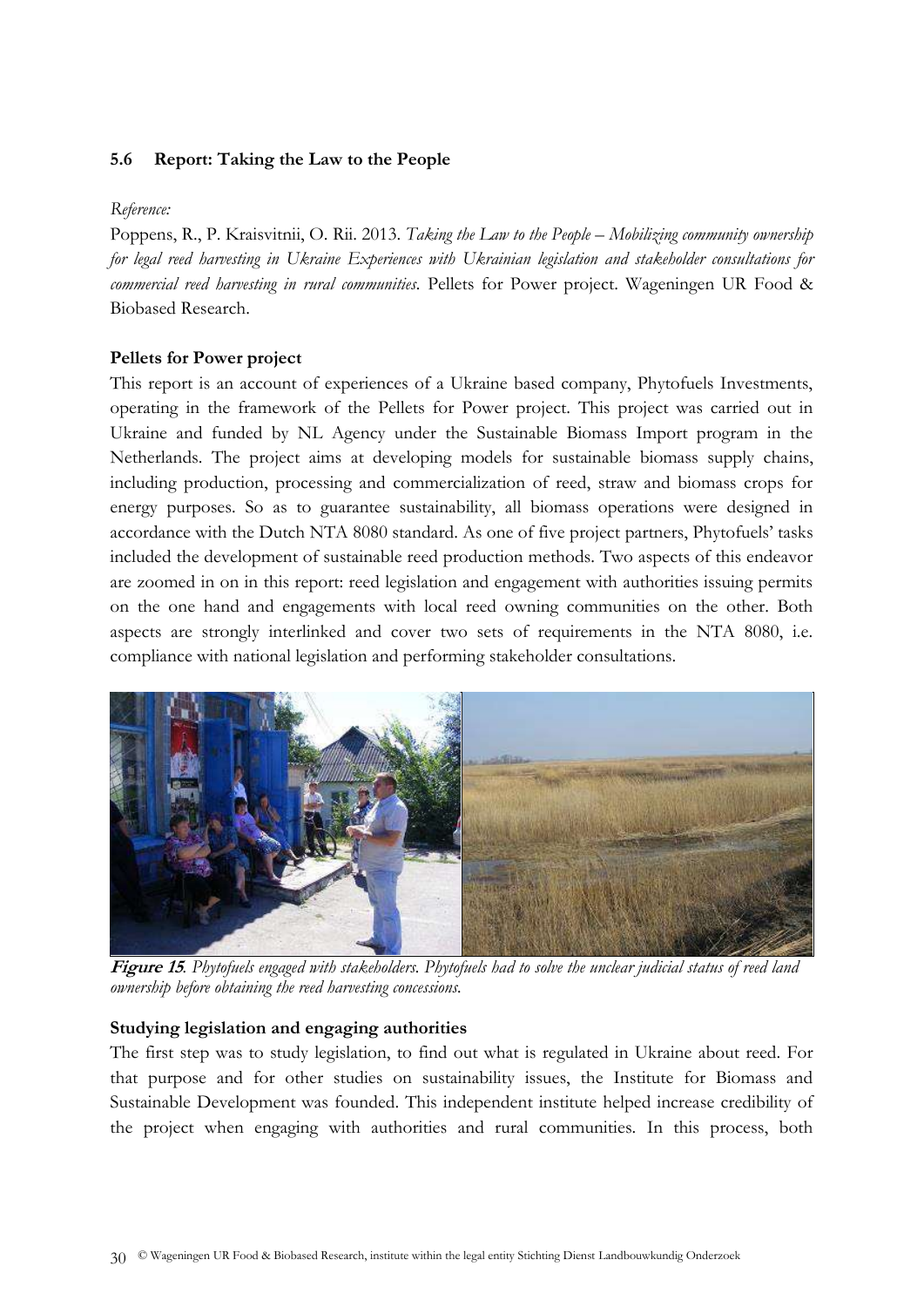#### <span id="page-29-0"></span>**5.6 Report: Taking the Law to the People**

#### *Reference:*

Poppens, R., P. Kraisvitnii, O. Rii. 2013. *Taking the Law to the People – Mobilizing community ownership for legal reed harvesting in Ukraine Experiences with Ukrainian legislation and stakeholder consultations for commercial reed harvesting in rural communities.* Pellets for Power project. Wageningen UR Food & Biobased Research.

#### **Pellets for Power project**

This report is an account of experiences of a Ukraine based company, Phytofuels Investments, operating in the framework of the Pellets for Power project. This project was carried out in Ukraine and funded by NL Agency under the Sustainable Biomass Import program in the Netherlands. The project aims at developing models for sustainable biomass supply chains, including production, processing and commercialization of reed, straw and biomass crops for energy purposes. So as to guarantee sustainability, all biomass operations were designed in accordance with the Dutch NTA 8080 standard. As one of five project partners, Phytofuels' tasks included the development of sustainable reed production methods. Two aspects of this endeavor are zoomed in on in this report: reed legislation and engagement with authorities issuing permits on the one hand and engagements with local reed owning communities on the other. Both aspects are strongly interlinked and cover two sets of requirements in the NTA 8080, i.e. compliance with national legislation and performing stakeholder consultations.



**Figure 15***. Phytofuels engaged with stakeholders. Phytofuels had to solve the unclear judicial status of reed land ownership before obtaining the reed harvesting concessions.* 

#### **Studying legislation and engaging authorities**

The first step was to study legislation, to find out what is regulated in Ukraine about reed. For that purpose and for other studies on sustainability issues, the Institute for Biomass and Sustainable Development was founded. This independent institute helped increase credibility of the project when engaging with authorities and rural communities. In this process, both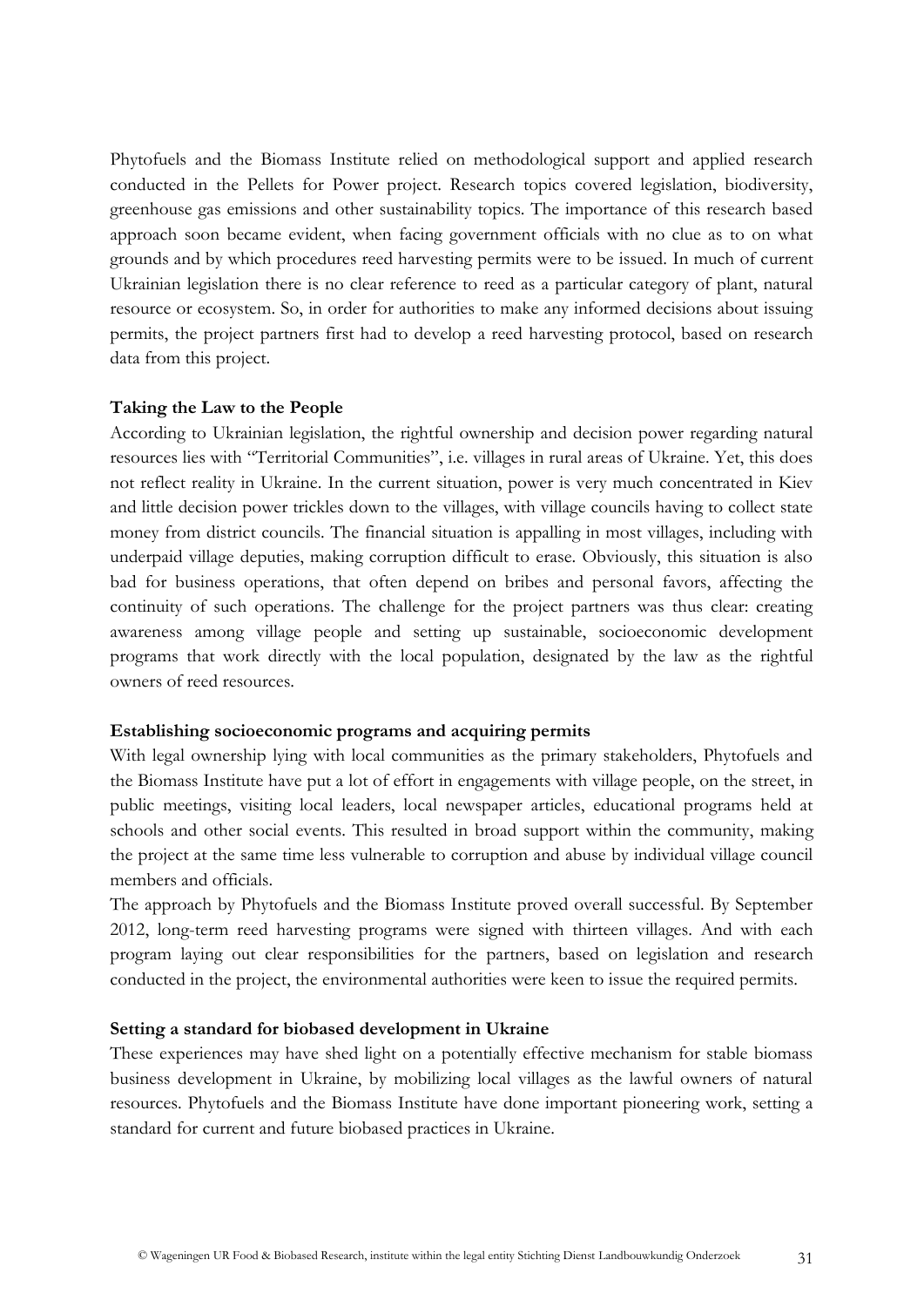Phytofuels and the Biomass Institute relied on methodological support and applied research conducted in the Pellets for Power project. Research topics covered legislation, biodiversity, greenhouse gas emissions and other sustainability topics. The importance of this research based approach soon became evident, when facing government officials with no clue as to on what grounds and by which procedures reed harvesting permits were to be issued. In much of current Ukrainian legislation there is no clear reference to reed as a particular category of plant, natural resource or ecosystem. So, in order for authorities to make any informed decisions about issuing permits, the project partners first had to develop a reed harvesting protocol, based on research data from this project.

#### **Taking the Law to the People**

According to Ukrainian legislation, the rightful ownership and decision power regarding natural resources lies with "Territorial Communities", i.e. villages in rural areas of Ukraine. Yet, this does not reflect reality in Ukraine. In the current situation, power is very much concentrated in Kiev and little decision power trickles down to the villages, with village councils having to collect state money from district councils. The financial situation is appalling in most villages, including with underpaid village deputies, making corruption difficult to erase. Obviously, this situation is also bad for business operations, that often depend on bribes and personal favors, affecting the continuity of such operations. The challenge for the project partners was thus clear: creating awareness among village people and setting up sustainable, socioeconomic development programs that work directly with the local population, designated by the law as the rightful owners of reed resources.

#### **Establishing socioeconomic programs and acquiring permits**

With legal ownership lying with local communities as the primary stakeholders, Phytofuels and the Biomass Institute have put a lot of effort in engagements with village people, on the street, in public meetings, visiting local leaders, local newspaper articles, educational programs held at schools and other social events. This resulted in broad support within the community, making the project at the same time less vulnerable to corruption and abuse by individual village council members and officials.

The approach by Phytofuels and the Biomass Institute proved overall successful. By September 2012, long-term reed harvesting programs were signed with thirteen villages. And with each program laying out clear responsibilities for the partners, based on legislation and research conducted in the project, the environmental authorities were keen to issue the required permits.

#### **Setting a standard for biobased development in Ukraine**

These experiences may have shed light on a potentially effective mechanism for stable biomass business development in Ukraine, by mobilizing local villages as the lawful owners of natural resources. Phytofuels and the Biomass Institute have done important pioneering work, setting a standard for current and future biobased practices in Ukraine.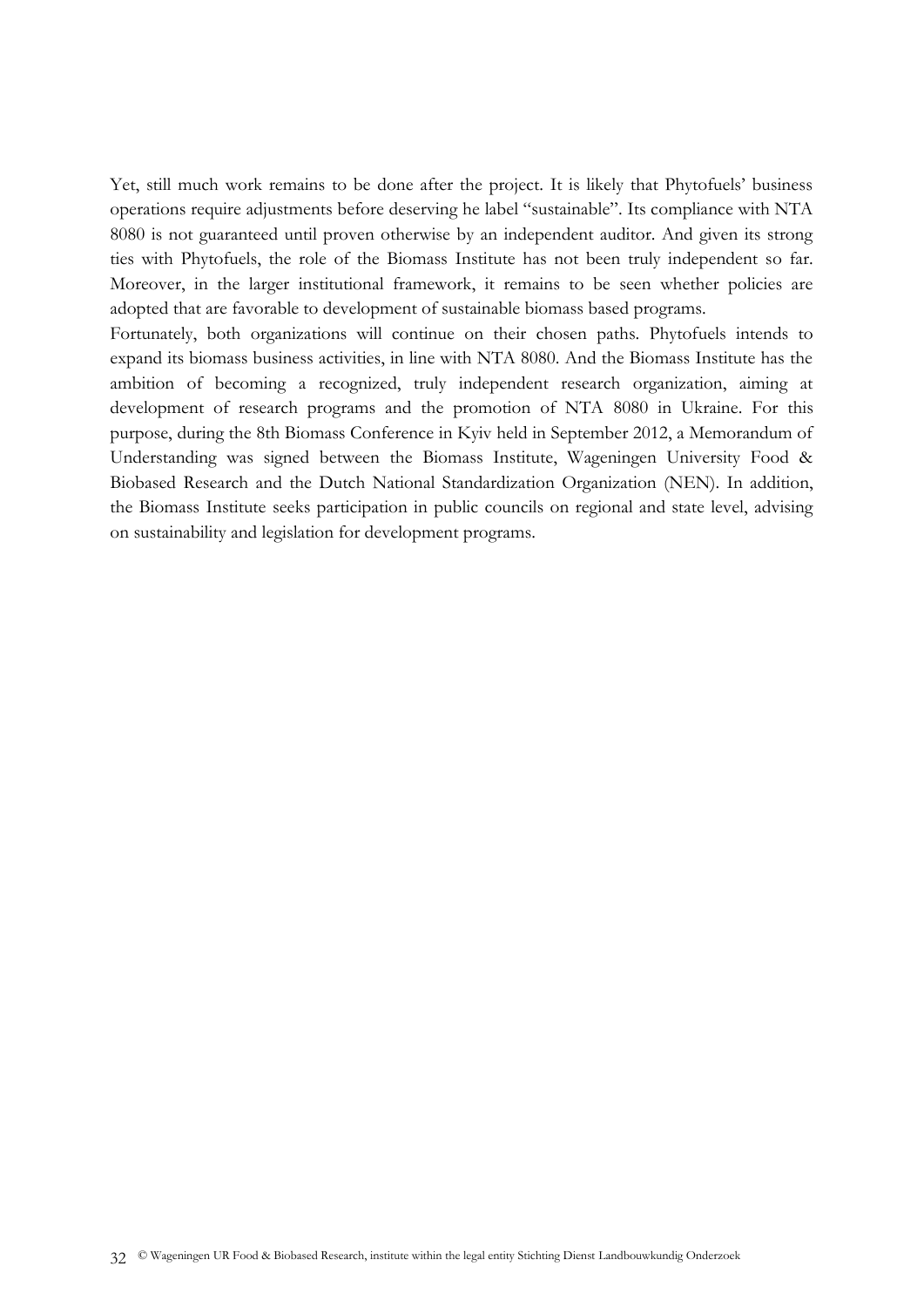Yet, still much work remains to be done after the project. It is likely that Phytofuels' business operations require adjustments before deserving he label "sustainable". Its compliance with NTA 8080 is not guaranteed until proven otherwise by an independent auditor. And given its strong ties with Phytofuels, the role of the Biomass Institute has not been truly independent so far. Moreover, in the larger institutional framework, it remains to be seen whether policies are adopted that are favorable to development of sustainable biomass based programs.

Fortunately, both organizations will continue on their chosen paths. Phytofuels intends to expand its biomass business activities, in line with NTA 8080. And the Biomass Institute has the ambition of becoming a recognized, truly independent research organization, aiming at development of research programs and the promotion of NTA 8080 in Ukraine. For this purpose, during the 8th Biomass Conference in Kyiv held in September 2012, a Memorandum of Understanding was signed between the Biomass Institute, Wageningen University Food & Biobased Research and the Dutch National Standardization Organization (NEN). In addition, the Biomass Institute seeks participation in public councils on regional and state level, advising on sustainability and legislation for development programs.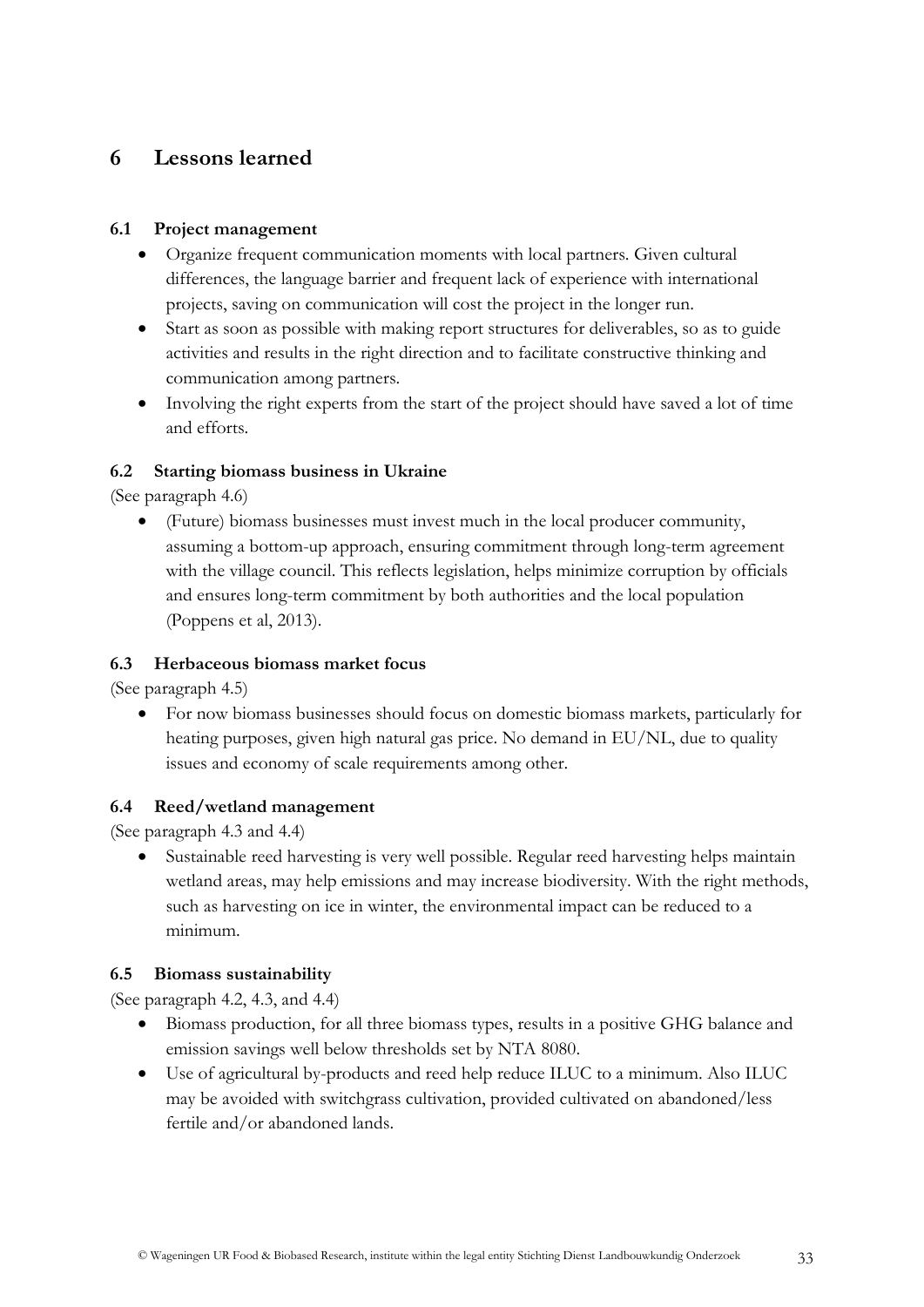# <span id="page-32-0"></span>**6 Lessons learned**

## <span id="page-32-1"></span>**6.1 Project management**

- Organize frequent communication moments with local partners. Given cultural differences, the language barrier and frequent lack of experience with international projects, saving on communication will cost the project in the longer run.
- Start as soon as possible with making report structures for deliverables, so as to guide activities and results in the right direction and to facilitate constructive thinking and communication among partners.
- Involving the right experts from the start of the project should have saved a lot of time and efforts.

# <span id="page-32-2"></span>**6.2 Starting biomass business in Ukraine**

(See paragraph 4.6)

 (Future) biomass businesses must invest much in the local producer community, assuming a bottom-up approach, ensuring commitment through long-term agreement with the village council. This reflects legislation, helps minimize corruption by officials and ensures long-term commitment by both authorities and the local population (Poppens et al, 2013).

# <span id="page-32-3"></span>**6.3 Herbaceous biomass market focus**

(See paragraph 4.5)

 For now biomass businesses should focus on domestic biomass markets, particularly for heating purposes, given high natural gas price. No demand in EU/NL, due to quality issues and economy of scale requirements among other.

# <span id="page-32-4"></span>**6.4 Reed/wetland management**

(See paragraph 4.3 and 4.4)

 Sustainable reed harvesting is very well possible. Regular reed harvesting helps maintain wetland areas, may help emissions and may increase biodiversity. With the right methods, such as harvesting on ice in winter, the environmental impact can be reduced to a minimum.

#### <span id="page-32-5"></span>**6.5 Biomass sustainability**

(See paragraph 4.2, 4.3, and 4.4)

- Biomass production, for all three biomass types, results in a positive GHG balance and emission savings well below thresholds set by NTA 8080.
- Use of agricultural by-products and reed help reduce ILUC to a minimum. Also ILUC may be avoided with switchgrass cultivation, provided cultivated on abandoned/less fertile and/or abandoned lands.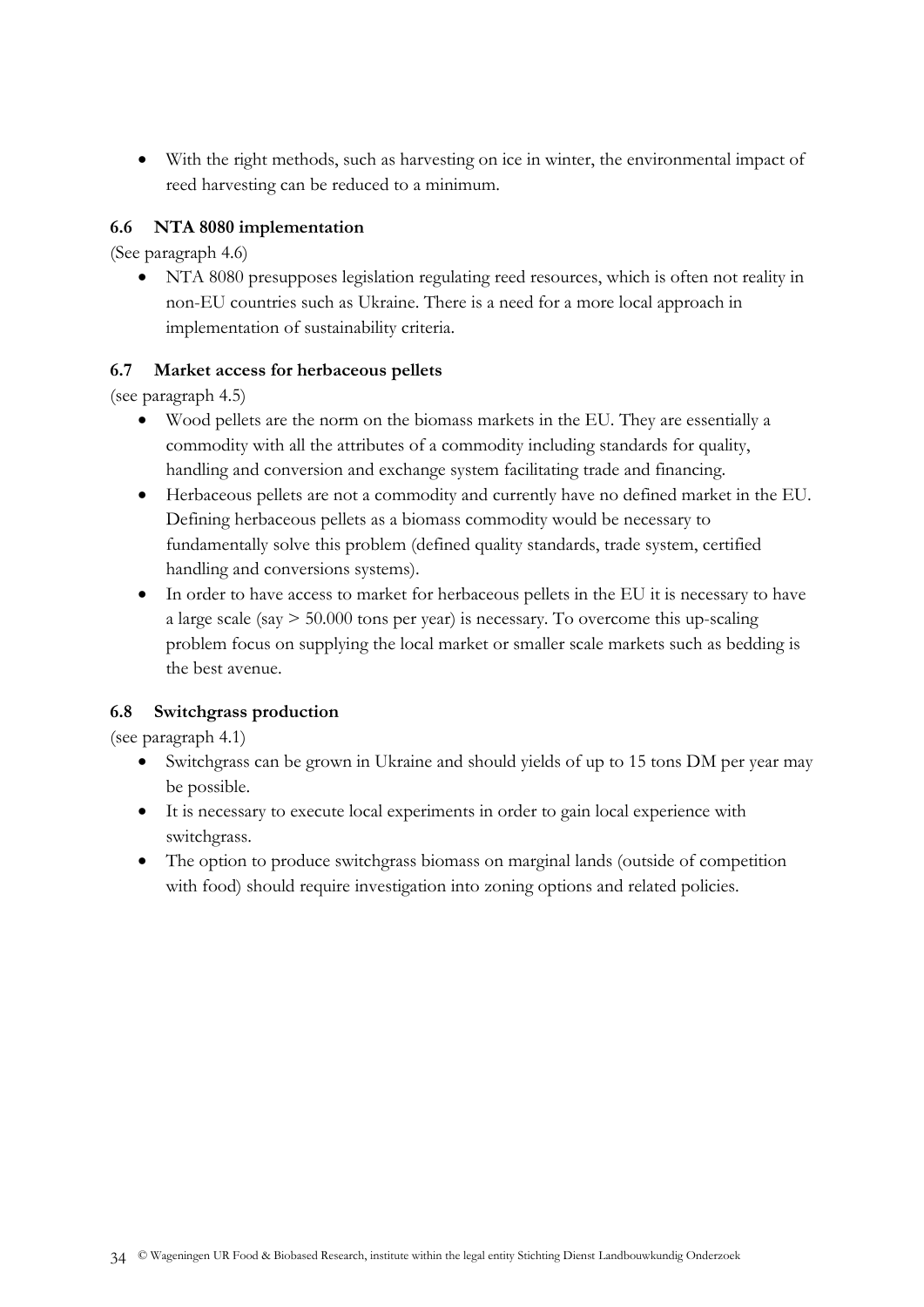With the right methods, such as harvesting on ice in winter, the environmental impact of reed harvesting can be reduced to a minimum.

# <span id="page-33-0"></span>**6.6 NTA 8080 implementation**

(See paragraph 4.6)

 NTA 8080 presupposes legislation regulating reed resources, which is often not reality in non-EU countries such as Ukraine. There is a need for a more local approach in implementation of sustainability criteria.

## <span id="page-33-1"></span>**6.7 Market access for herbaceous pellets**

(see paragraph 4.5)

- Wood pellets are the norm on the biomass markets in the EU. They are essentially a commodity with all the attributes of a commodity including standards for quality, handling and conversion and exchange system facilitating trade and financing.
- Herbaceous pellets are not a commodity and currently have no defined market in the EU. Defining herbaceous pellets as a biomass commodity would be necessary to fundamentally solve this problem (defined quality standards, trade system, certified handling and conversions systems).
- In order to have access to market for herbaceous pellets in the EU it is necessary to have a large scale (say > 50.000 tons per year) is necessary. To overcome this up-scaling problem focus on supplying the local market or smaller scale markets such as bedding is the best avenue.

# <span id="page-33-2"></span>**6.8 Switchgrass production**

(see paragraph 4.1)

- Switchgrass can be grown in Ukraine and should yields of up to 15 tons DM per year may be possible.
- It is necessary to execute local experiments in order to gain local experience with switchgrass.
- The option to produce switchgrass biomass on marginal lands (outside of competition with food) should require investigation into zoning options and related policies.